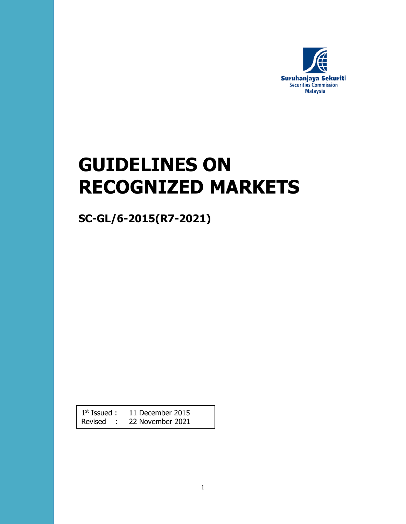

# **GUIDELINES ON RECOGNIZED MARKETS**

**SC-GL/6-2015(R7-2021)**

1<sup>st</sup> Issued : 11 December 2015 Revised : 22 November 2021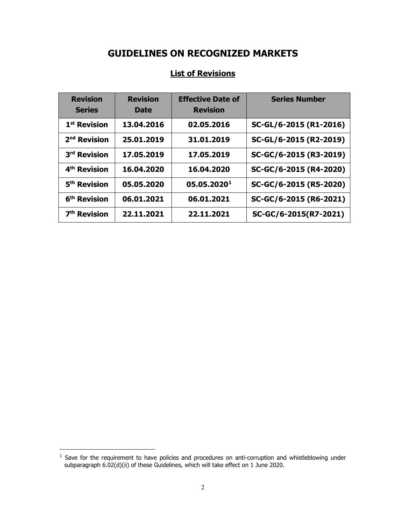# **GUIDELINES ON RECOGNIZED MARKETS**

| <b>Revision</b><br><b>Series</b> | <b>Revision</b><br><b>Date</b> | <b>Effective Date of</b><br><b>Revision</b> | <b>Series Number</b>   |
|----------------------------------|--------------------------------|---------------------------------------------|------------------------|
| 1 <sup>st</sup> Revision         | 13.04.2016                     | 02.05.2016                                  | SC-GL/6-2015 (R1-2016) |
| 2 <sup>nd</sup> Revision         | 25.01.2019                     | 31.01.2019                                  | SC-GL/6-2015 (R2-2019) |
| 3 <sup>rd</sup> Revision         | 17.05.2019                     | 17.05.2019                                  | SC-GC/6-2015 (R3-2019) |
| 4 <sup>th</sup> Revision         | 16.04.2020                     | 16.04.2020                                  | SC-GC/6-2015 (R4-2020) |
| 5 <sup>th</sup> Revision         | 05.05.2020                     | 05.05.20201                                 | SC-GC/6-2015 (R5-2020) |
| 6 <sup>th</sup> Revision         | 06.01.2021                     | 06.01.2021                                  | SC-GC/6-2015 (R6-2021) |
| 7 <sup>th</sup> Revision         | 22.11.2021                     | 22.11.2021                                  | SC-GC/6-2015(R7-2021)  |

# **List of Revisions**

 $\overline{a}$ 

<span id="page-1-0"></span> $<sup>1</sup>$  Save for the requirement to have policies and procedures on anti-corruption and whistleblowing under</sup> subparagraph 6.02(d)(ii) of these Guidelines, which will take effect on 1 June 2020.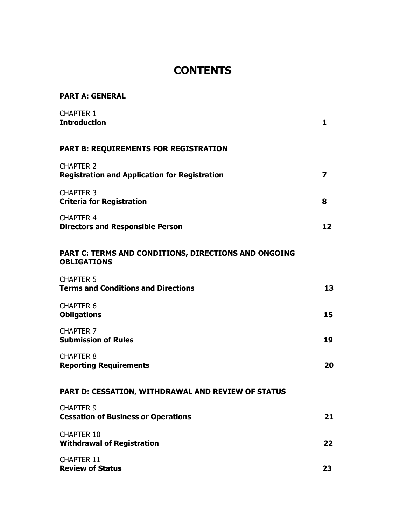# **CONTENTS**

| <b>PART A: GENERAL</b>                                                     |    |
|----------------------------------------------------------------------------|----|
| <b>CHAPTER 1</b><br><b>Introduction</b>                                    | 1  |
| <b>PART B: REQUIREMENTS FOR REGISTRATION</b>                               |    |
| <b>CHAPTER 2</b><br><b>Registration and Application for Registration</b>   | 7  |
| <b>CHAPTER 3</b><br><b>Criteria for Registration</b>                       | 8  |
| <b>CHAPTER 4</b><br><b>Directors and Responsible Person</b>                | 12 |
| PART C: TERMS AND CONDITIONS, DIRECTIONS AND ONGOING<br><b>OBLIGATIONS</b> |    |
| <b>CHAPTER 5</b><br><b>Terms and Conditions and Directions</b>             | 13 |
| <b>CHAPTER 6</b><br><b>Obligations</b>                                     | 15 |
| <b>CHAPTER 7</b><br><b>Submission of Rules</b>                             | 19 |
| <b>CHAPTER 8</b><br><b>Reporting Requirements</b>                          | 20 |
| PART D: CESSATION, WITHDRAWAL AND REVIEW OF STATUS                         |    |
| <b>CHAPTER 9</b><br><b>Cessation of Business or Operations</b>             | 21 |
| <b>CHAPTER 10</b><br><b>Withdrawal of Registration</b>                     | 22 |
| CHAPTER 11<br><b>Review of Status</b>                                      | 23 |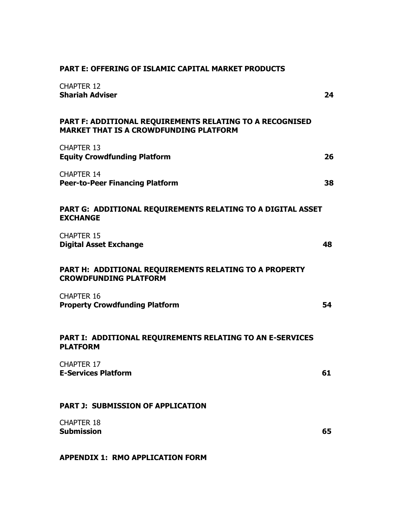| <b>CHAPTER 12</b><br><b>Shariah Adviser</b>                                                               | 24 |
|-----------------------------------------------------------------------------------------------------------|----|
| PART F: ADDITIONAL REQUIREMENTS RELATING TO A RECOGNISED<br><b>MARKET THAT IS A CROWDFUNDING PLATFORM</b> |    |
| <b>CHAPTER 13</b><br><b>Equity Crowdfunding Platform</b>                                                  | 26 |
| <b>CHAPTER 14</b><br><b>Peer-to-Peer Financing Platform</b>                                               | 38 |
| PART G: ADDITIONAL REQUIREMENTS RELATING TO A DIGITAL ASSET<br><b>EXCHANGE</b>                            |    |
| <b>CHAPTER 15</b><br><b>Digital Asset Exchange</b>                                                        | 48 |
| PART H: ADDITIONAL REQUIREMENTS RELATING TO A PROPERTY<br><b>CROWDFUNDING PLATFORM</b>                    |    |
| <b>CHAPTER 16</b><br><b>Property Crowdfunding Platform</b>                                                | 54 |
| PART I: ADDITIONAL REQUIREMENTS RELATING TO AN E-SERVICES<br><b>PLATFORM</b>                              |    |
| <b>CHAPTER 17</b><br><b>E-Services Platform</b>                                                           | 61 |
| <b>PART J: SUBMISSION OF APPLICATION</b>                                                                  |    |
| <b>CHAPTER 18</b><br><b>Submission</b>                                                                    | 65 |
| <b>APPENDIX 1: RMO APPLICATION FORM</b>                                                                   |    |

#### **PART E: OFFERING OF ISLAMIC CAPITAL MARKET PRODUCTS**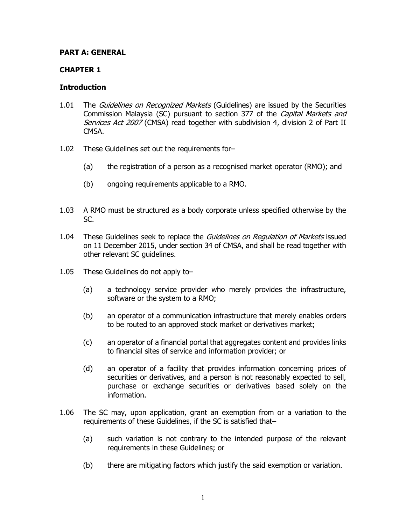#### **PART A: GENERAL**

#### **CHAPTER 1**

#### **Introduction**

- 1.01 The Guidelines on Recognized Markets (Guidelines) are issued by the Securities Commission Malaysia (SC) pursuant to section 377 of the *Capital Markets and* Services Act 2007 (CMSA) read together with subdivision 4, division 2 of Part II CMSA.
- 1.02 These Guidelines set out the requirements for–
	- (a) the registration of a person as a recognised market operator (RMO); and
	- (b) ongoing requirements applicable to a RMO.
- 1.03 A RMO must be structured as a body corporate unless specified otherwise by the SC.
- 1.04 These Guidelines seek to replace the Guidelines on Regulation of Markets issued on 11 December 2015, under section 34 of CMSA, and shall be read together with other relevant SC guidelines.
- 1.05 These Guidelines do not apply to–
	- (a) a technology service provider who merely provides the infrastructure, software or the system to a RMO;
	- (b) an operator of a communication infrastructure that merely enables orders to be routed to an approved stock market or derivatives market;
	- (c) an operator of a financial portal that aggregates content and provides links to financial sites of service and information provider; or
	- (d) an operator of a facility that provides information concerning prices of securities or derivatives, and a person is not reasonably expected to sell, purchase or exchange securities or derivatives based solely on the information.
- 1.06 The SC may, upon application, grant an exemption from or a variation to the requirements of these Guidelines, if the SC is satisfied that–
	- (a) such variation is not contrary to the intended purpose of the relevant requirements in these Guidelines; or
	- (b) there are mitigating factors which justify the said exemption or variation.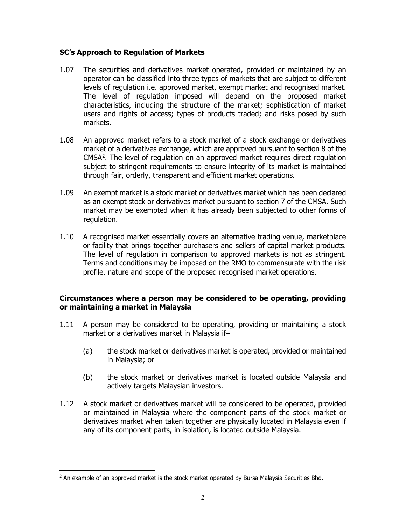#### **SC's Approach to Regulation of Markets**

- 1.07 The securities and derivatives market operated, provided or maintained by an operator can be classified into three types of markets that are subject to different levels of regulation i.e. approved market, exempt market and recognised market. The level of regulation imposed will depend on the proposed market characteristics, including the structure of the market; sophistication of market users and rights of access; types of products traded; and risks posed by such markets.
- 1.08 An approved market refers to a stock market of a stock exchange or derivatives market of a derivatives exchange, which are approved pursuant to section 8 of the CMSA[2](#page-5-0) . The level of regulation on an approved market requires direct regulation subject to stringent requirements to ensure integrity of its market is maintained through fair, orderly, transparent and efficient market operations.
- 1.09 An exempt market is a stock market or derivatives market which has been declared as an exempt stock or derivatives market pursuant to section 7 of the CMSA. Such market may be exempted when it has already been subjected to other forms of regulation.
- 1.10 A recognised market essentially covers an alternative trading venue, marketplace or facility that brings together purchasers and sellers of capital market products. The level of regulation in comparison to approved markets is not as stringent. Terms and conditions may be imposed on the RMO to commensurate with the risk profile, nature and scope of the proposed recognised market operations.

#### **Circumstances where a person may be considered to be operating, providing or maintaining a market in Malaysia**

- 1.11 A person may be considered to be operating, providing or maintaining a stock market or a derivatives market in Malaysia if–
	- (a) the stock market or derivatives market is operated, provided or maintained in Malaysia; or
	- (b) the stock market or derivatives market is located outside Malaysia and actively targets Malaysian investors.
- 1.12 A stock market or derivatives market will be considered to be operated, provided or maintained in Malaysia where the component parts of the stock market or derivatives market when taken together are physically located in Malaysia even if any of its component parts, in isolation, is located outside Malaysia.

<span id="page-5-0"></span> $^{2}$  An example of an approved market is the stock market operated by Bursa Malaysia Securities Bhd.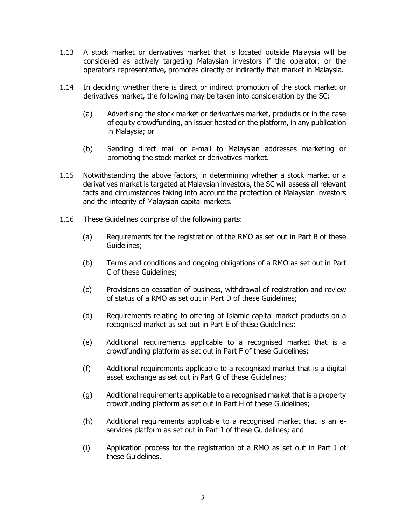- 1.13 A stock market or derivatives market that is located outside Malaysia will be considered as actively targeting Malaysian investors if the operator, or the operator's representative, promotes directly or indirectly that market in Malaysia.
- 1.14 In deciding whether there is direct or indirect promotion of the stock market or derivatives market, the following may be taken into consideration by the SC:
	- (a) Advertising the stock market or derivatives market, products or in the case of equity crowdfunding, an issuer hosted on the platform, in any publication in Malaysia; or
	- (b) Sending direct mail or e-mail to Malaysian addresses marketing or promoting the stock market or derivatives market.
- 1.15 Notwithstanding the above factors, in determining whether a stock market or a derivatives market is targeted at Malaysian investors, the SC will assess all relevant facts and circumstances taking into account the protection of Malaysian investors and the integrity of Malaysian capital markets.
- 1.16 These Guidelines comprise of the following parts:
	- (a) Requirements for the registration of the RMO as set out in Part B of these Guidelines;
	- (b) Terms and conditions and ongoing obligations of a RMO as set out in Part C of these Guidelines;
	- (c) Provisions on cessation of business, withdrawal of registration and review of status of a RMO as set out in Part D of these Guidelines;
	- (d) Requirements relating to offering of Islamic capital market products on a recognised market as set out in Part E of these Guidelines;
	- (e) Additional requirements applicable to a recognised market that is a crowdfunding platform as set out in Part F of these Guidelines;
	- (f) Additional requirements applicable to a recognised market that is a digital asset exchange as set out in Part G of these Guidelines;
	- (g) Additional requirements applicable to a recognised market that is a property crowdfunding platform as set out in Part H of these Guidelines;
	- (h) Additional requirements applicable to a recognised market that is an eservices platform as set out in Part I of these Guidelines; and
	- (i) Application process for the registration of a RMO as set out in Part J of these Guidelines.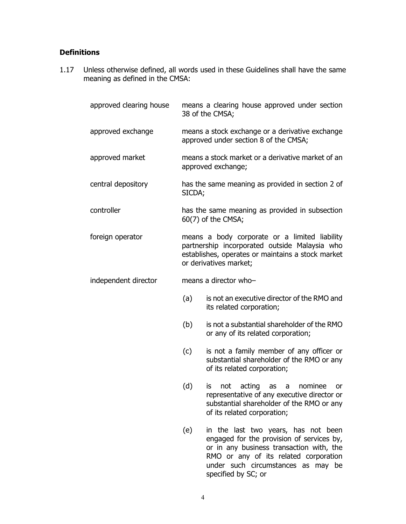# **Definitions**

1.17 Unless otherwise defined, all words used in these Guidelines shall have the same meaning as defined in the CMSA:

| approved clearing house |        | means a clearing house approved under section<br>38 of the CMSA;                                                                                                                                                                   |
|-------------------------|--------|------------------------------------------------------------------------------------------------------------------------------------------------------------------------------------------------------------------------------------|
| approved exchange       |        | means a stock exchange or a derivative exchange<br>approved under section 8 of the CMSA;                                                                                                                                           |
| approved market         |        | means a stock market or a derivative market of an<br>approved exchange;                                                                                                                                                            |
| central depository      | SICDA; | has the same meaning as provided in section 2 of                                                                                                                                                                                   |
| controller              |        | has the same meaning as provided in subsection<br>60(7) of the CMSA;                                                                                                                                                               |
| foreign operator        |        | means a body corporate or a limited liability<br>partnership incorporated outside Malaysia who<br>establishes, operates or maintains a stock market<br>or derivatives market;                                                      |
| independent director    |        | means a director who-                                                                                                                                                                                                              |
|                         | (a)    | is not an executive director of the RMO and<br>its related corporation;                                                                                                                                                            |
|                         | (b)    | is not a substantial shareholder of the RMO<br>or any of its related corporation;                                                                                                                                                  |
|                         | (c)    | is not a family member of any officer or<br>substantial shareholder of the RMO or any<br>of its related corporation;                                                                                                               |
|                         | (d)    | nominee<br>acting<br>not<br>is.<br>as<br>or<br>a<br>representative of any executive director or<br>substantial shareholder of the RMO or any<br>of its related corporation;                                                        |
|                         | (e)    | in the last two years, has not been<br>engaged for the provision of services by,<br>or in any business transaction with, the<br>RMO or any of its related corporation<br>under such circumstances as may be<br>specified by SC; or |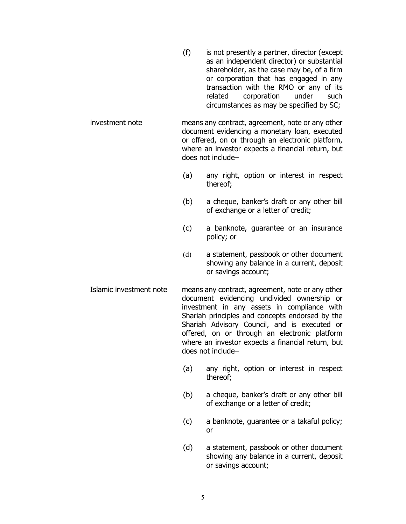- (f) is not presently a partner, director (except as an independent director) or substantial shareholder, as the case may be, of a firm or corporation that has engaged in any transaction with the RMO or any of its related corporation under such circumstances as may be specified by SC;
- investment note means any contract, agreement, note or any other document evidencing a monetary loan, executed or offered, on or through an electronic platform, where an investor expects a financial return, but does not include–
	- (a) any right, option or interest in respect thereof;
	- (b) a cheque, banker's draft or any other bill of exchange or a letter of credit;
	- (c) a banknote, guarantee or an insurance policy; or
	- (d) a statement, passbook or other document showing any balance in a current, deposit or savings account;
- Islamic investment note means any contract, agreement, note or any other document evidencing undivided ownership or investment in any assets in compliance with Shariah principles and concepts endorsed by the Shariah Advisory Council, and is executed or offered, on or through an electronic platform where an investor expects a financial return, but does not include–
	- (a) any right, option or interest in respect thereof;
	- (b) a cheque, banker's draft or any other bill of exchange or a letter of credit;
	- (c) a banknote, guarantee or a takaful policy; or
	- (d) a statement, passbook or other document showing any balance in a current, deposit or savings account;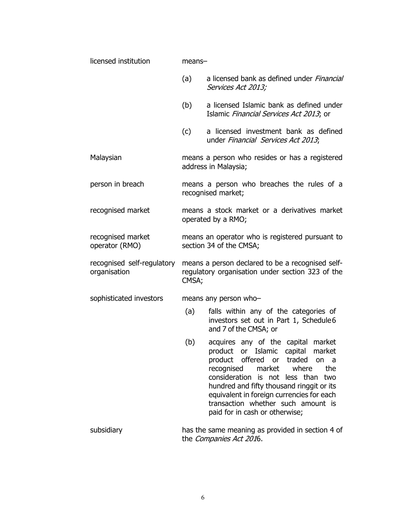| licensed institution                       | $means-$ |                                                                                                                                                                                                                                                                                                                                                           |
|--------------------------------------------|----------|-----------------------------------------------------------------------------------------------------------------------------------------------------------------------------------------------------------------------------------------------------------------------------------------------------------------------------------------------------------|
|                                            | (a)      | a licensed bank as defined under Financial<br>Services Act 2013;                                                                                                                                                                                                                                                                                          |
|                                            | (b)      | a licensed Islamic bank as defined under<br>Islamic Financial Services Act 2013; or                                                                                                                                                                                                                                                                       |
|                                            | (c)      | a licensed investment bank as defined<br>under Financial Services Act 2013;                                                                                                                                                                                                                                                                               |
| Malaysian                                  |          | means a person who resides or has a registered<br>address in Malaysia;                                                                                                                                                                                                                                                                                    |
| person in breach                           |          | means a person who breaches the rules of a<br>recognised market;                                                                                                                                                                                                                                                                                          |
| recognised market                          |          | means a stock market or a derivatives market<br>operated by a RMO;                                                                                                                                                                                                                                                                                        |
| recognised market<br>operator (RMO)        |          | means an operator who is registered pursuant to<br>section 34 of the CMSA;                                                                                                                                                                                                                                                                                |
| recognised self-regulatory<br>organisation | CMSA;    | means a person declared to be a recognised self-<br>regulatory organisation under section 323 of the                                                                                                                                                                                                                                                      |
| sophisticated investors                    |          | means any person who-                                                                                                                                                                                                                                                                                                                                     |
|                                            | (a)      | falls within any of the categories of<br>investors set out in Part 1, Schedule6<br>and 7 of the CMSA; or                                                                                                                                                                                                                                                  |
|                                            | (b)      | acquires any of the capital market<br>product or Islamic capital<br>market<br>product offered or traded on a<br>recognised market<br>where<br>the<br>consideration is not less than two<br>hundred and fifty thousand ringgit or its<br>equivalent in foreign currencies for each<br>transaction whether such amount is<br>paid for in cash or otherwise; |
| subsidiary                                 |          | has the same meaning as provided in section 4 of<br>the Companies Act 2016.                                                                                                                                                                                                                                                                               |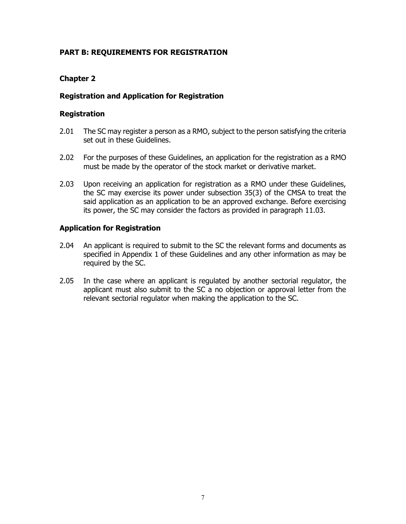#### **PART B: REQUIREMENTS FOR REGISTRATION**

#### **Chapter 2**

#### **Registration and Application for Registration**

#### **Registration**

- 2.01 The SC may register a person as a RMO, subject to the person satisfying the criteria set out in these Guidelines.
- 2.02 For the purposes of these Guidelines, an application for the registration as a RMO must be made by the operator of the stock market or derivative market.
- 2.03 Upon receiving an application for registration as a RMO under these Guidelines, the SC may exercise its power under subsection 35(3) of the CMSA to treat the said application as an application to be an approved exchange. Before exercising its power, the SC may consider the factors as provided in paragraph 11.03.

#### **Application for Registration**

- 2.04 An applicant is required to submit to the SC the relevant forms and documents as specified in Appendix 1 of these Guidelines and any other information as may be required by the SC.
- 2.05 In the case where an applicant is regulated by another sectorial regulator, the applicant must also submit to the SC a no objection or approval letter from the relevant sectorial regulator when making the application to the SC.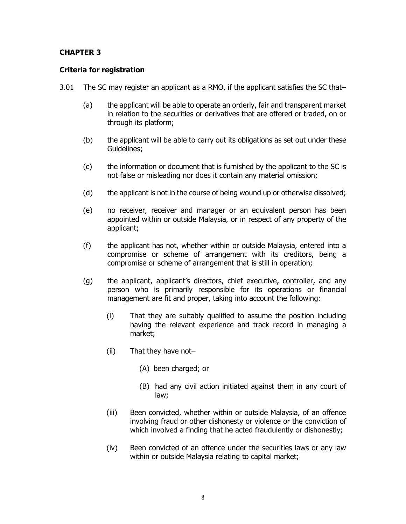#### **CHAPTER 3**

#### **Criteria for registration**

- 3.01 The SC may register an applicant as a RMO, if the applicant satisfies the SC that–
	- (a) the applicant will be able to operate an orderly, fair and transparent market in relation to the securities or derivatives that are offered or traded, on or through its platform;
	- (b) the applicant will be able to carry out its obligations as set out under these Guidelines;
	- (c) the information or document that is furnished by the applicant to the SC is not false or misleading nor does it contain any material omission;
	- (d) the applicant is not in the course of being wound up or otherwise dissolved;
	- (e) no receiver, receiver and manager or an equivalent person has been appointed within or outside Malaysia, or in respect of any property of the applicant;
	- (f) the applicant has not, whether within or outside Malaysia, entered into a compromise or scheme of arrangement with its creditors, being a compromise or scheme of arrangement that is still in operation;
	- (g) the applicant, applicant's directors, chief executive, controller, and any person who is primarily responsible for its operations or financial management are fit and proper, taking into account the following:
		- (i) That they are suitably qualified to assume the position including having the relevant experience and track record in managing a market;
		- (ii) That they have not–
			- (A) been charged; or
			- (B) had any civil action initiated against them in any court of law;
		- (iii) Been convicted, whether within or outside Malaysia, of an offence involving fraud or other dishonesty or violence or the conviction of which involved a finding that he acted fraudulently or dishonestly;
		- (iv) Been convicted of an offence under the securities laws or any law within or outside Malaysia relating to capital market;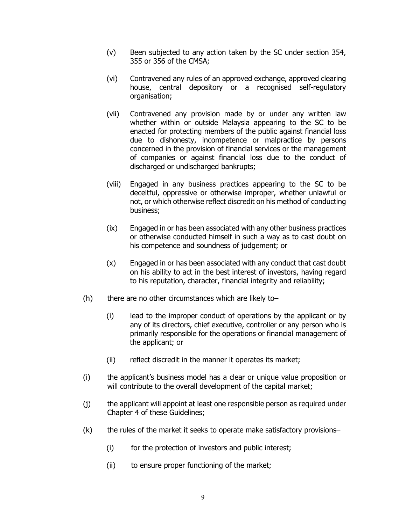- (v) Been subjected to any action taken by the SC under section 354, 355 or 356 of the CMSA;
- (vi) Contravened any rules of an approved exchange, approved clearing house, central depository or a recognised self-regulatory organisation;
- (vii) Contravened any provision made by or under any written law whether within or outside Malaysia appearing to the SC to be enacted for protecting members of the public against financial loss due to dishonesty, incompetence or malpractice by persons concerned in the provision of financial services or the management of companies or against financial loss due to the conduct of discharged or undischarged bankrupts;
- (viii) Engaged in any business practices appearing to the SC to be deceitful, oppressive or otherwise improper, whether unlawful or not, or which otherwise reflect discredit on his method of conducting business;
- (ix) Engaged in or has been associated with any other business practices or otherwise conducted himself in such a way as to cast doubt on his competence and soundness of judgement; or
- (x) Engaged in or has been associated with any conduct that cast doubt on his ability to act in the best interest of investors, having regard to his reputation, character, financial integrity and reliability;
- $(h)$  there are no other circumstances which are likely to–
	- (i) lead to the improper conduct of operations by the applicant or by any of its directors, chief executive, controller or any person who is primarily responsible for the operations or financial management of the applicant; or
	- (ii) reflect discredit in the manner it operates its market;
- (i) the applicant's business model has a clear or unique value proposition or will contribute to the overall development of the capital market;
- (j) the applicant will appoint at least one responsible person as required under Chapter 4 of these Guidelines;
- (k) the rules of the market it seeks to operate make satisfactory provisions–
	- (i) for the protection of investors and public interest;
	- (ii) to ensure proper functioning of the market;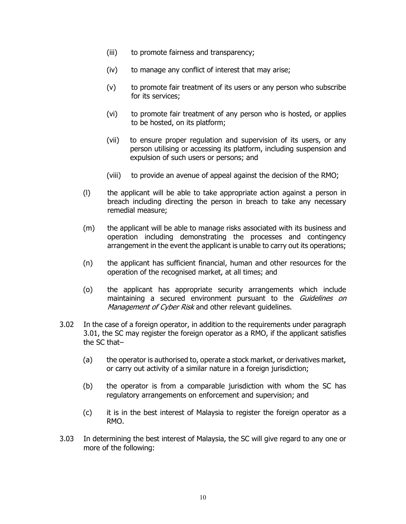- (iii) to promote fairness and transparency;
- (iv) to manage any conflict of interest that may arise;
- (v) to promote fair treatment of its users or any person who subscribe for its services;
- (vi) to promote fair treatment of any person who is hosted, or applies to be hosted, on its platform;
- (vii) to ensure proper regulation and supervision of its users, or any person utilising or accessing its platform, including suspension and expulsion of such users or persons; and
- (viii) to provide an avenue of appeal against the decision of the RMO;
- (l) the applicant will be able to take appropriate action against a person in breach including directing the person in breach to take any necessary remedial measure;
- (m) the applicant will be able to manage risks associated with its business and operation including demonstrating the processes and contingency arrangement in the event the applicant is unable to carry out its operations;
- (n) the applicant has sufficient financial, human and other resources for the operation of the recognised market, at all times; and
- (o) the applicant has appropriate security arrangements which include maintaining a secured environment pursuant to the Guidelines on Management of Cyber Risk and other relevant quidelines.
- 3.02 In the case of a foreign operator, in addition to the requirements under paragraph 3.01, the SC may register the foreign operator as a RMO, if the applicant satisfies the SC that–
	- (a) the operator is authorised to, operate a stock market, or derivatives market, or carry out activity of a similar nature in a foreign jurisdiction;
	- (b) the operator is from a comparable jurisdiction with whom the SC has regulatory arrangements on enforcement and supervision; and
	- (c) it is in the best interest of Malaysia to register the foreign operator as a RMO.
- 3.03 In determining the best interest of Malaysia, the SC will give regard to any one or more of the following: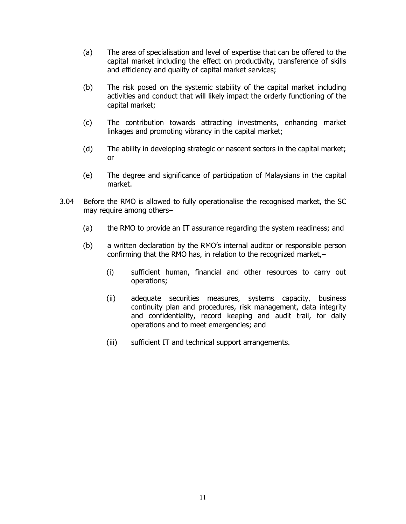- (a) The area of specialisation and level of expertise that can be offered to the capital market including the effect on productivity, transference of skills and efficiency and quality of capital market services;
- (b) The risk posed on the systemic stability of the capital market including activities and conduct that will likely impact the orderly functioning of the capital market;
- (c) The contribution towards attracting investments, enhancing market linkages and promoting vibrancy in the capital market;
- (d) The ability in developing strategic or nascent sectors in the capital market; or
- (e) The degree and significance of participation of Malaysians in the capital market.
- 3.04 Before the RMO is allowed to fully operationalise the recognised market, the SC may require among others–
	- (a) the RMO to provide an IT assurance regarding the system readiness; and
	- (b) a written declaration by the RMO's internal auditor or responsible person confirming that the RMO has, in relation to the recognized market,–
		- (i) sufficient human, financial and other resources to carry out operations;
		- (ii) adequate securities measures, systems capacity, business continuity plan and procedures, risk management, data integrity and confidentiality, record keeping and audit trail, for daily operations and to meet emergencies; and
		- (iii) sufficient IT and technical support arrangements.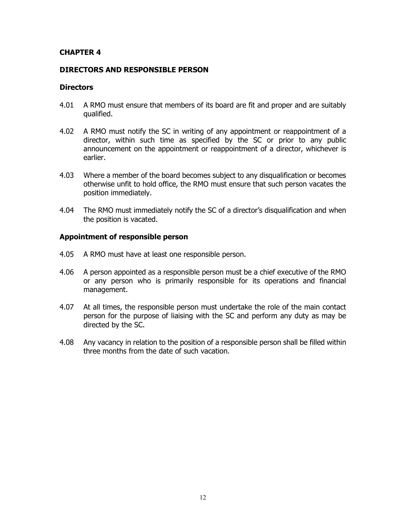#### **CHAPTER 4**

#### **DIRECTORS AND RESPONSIBLE PERSON**

#### **Directors**

- 4.01 A RMO must ensure that members of its board are fit and proper and are suitably qualified.
- 4.02 A RMO must notify the SC in writing of any appointment or reappointment of a director, within such time as specified by the SC or prior to any public announcement on the appointment or reappointment of a director, whichever is earlier.
- 4.03 Where a member of the board becomes subject to any disqualification or becomes otherwise unfit to hold office, the RMO must ensure that such person vacates the position immediately.
- 4.04 The RMO must immediately notify the SC of a director's disqualification and when the position is vacated.

#### **Appointment of responsible person**

- 4.05 A RMO must have at least one responsible person.
- 4.06 A person appointed as a responsible person must be a chief executive of the RMO or any person who is primarily responsible for its operations and financial management.
- 4.07 At all times, the responsible person must undertake the role of the main contact person for the purpose of liaising with the SC and perform any duty as may be directed by the SC.
- 4.08 Any vacancy in relation to the position of a responsible person shall be filled within three months from the date of such vacation.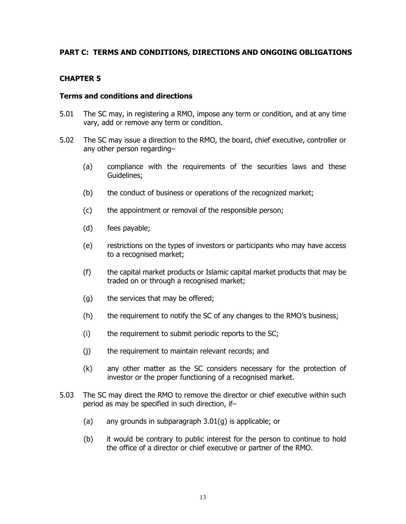#### **PART C: TERMS AND CONDITIONS, DIRECTIONS AND ONGOING OBLIGATIONS**

#### **CHAPTER 5**

#### **Terms and conditions and directions**

- 5.01 The SC may, in registering a RMO, impose any term or condition, and at any time vary, add or remove any term or condition.
- 5.02 The SC may issue a direction to the RMO, the board, chief executive, controller or any other person regarding–
	- (a) compliance with the requirements of the securities laws and these Guidelines;
	- (b) the conduct of business or operations of the recognized market;
	- (c) the appointment or removal of the responsible person;
	- (d) fees payable;
	- (e) restrictions on the types of investors or participants who may have access to a recognised market;
	- (f) the capital market products or Islamic capital market products that may be traded on or through a recognised market;
	- (g) the services that may be offered;
	- (h) the requirement to notify the SC of any changes to the RMO's business;
	- (i) the requirement to submit periodic reports to the SC;
	- (j) the requirement to maintain relevant records; and
	- (k) any other matter as the SC considers necessary for the protection of investor or the proper functioning of a recognised market.
- 5.03 The SC may direct the RMO to remove the director or chief executive within such period as may be specified in such direction, if–
	- (a) any grounds in subparagraph 3.01(g) is applicable; or
	- (b) it would be contrary to public interest for the person to continue to hold the office of a director or chief executive or partner of the RMO.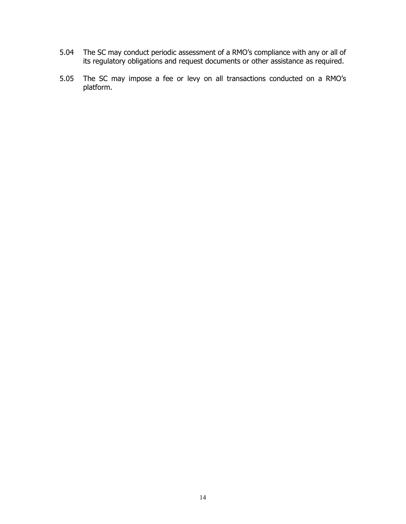- 5.04 The SC may conduct periodic assessment of a RMO's compliance with any or all of its regulatory obligations and request documents or other assistance as required.
- 5.05 The SC may impose a fee or levy on all transactions conducted on a RMO's platform.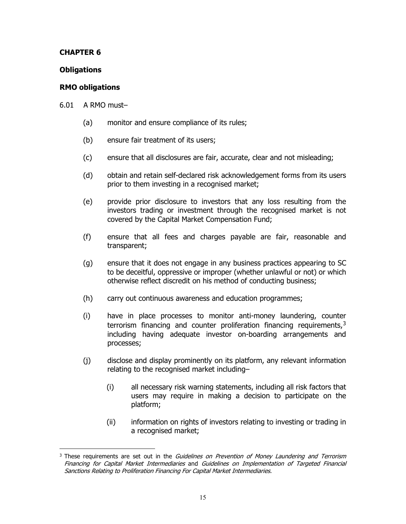#### **CHAPTER 6**

#### **Obligations**

#### **RMO obligations**

6.01 A RMO must–

- (a) monitor and ensure compliance of its rules;
- (b) ensure fair treatment of its users;
- (c) ensure that all disclosures are fair, accurate, clear and not misleading;
- (d) obtain and retain self-declared risk acknowledgement forms from its users prior to them investing in a recognised market;
- (e) provide prior disclosure to investors that any loss resulting from the investors trading or investment through the recognised market is not covered by the Capital Market Compensation Fund;
- (f) ensure that all fees and charges payable are fair, reasonable and transparent;
- (g) ensure that it does not engage in any business practices appearing to SC to be deceitful, oppressive or improper (whether unlawful or not) or which otherwise reflect discredit on his method of conducting business;
- (h) carry out continuous awareness and education programmes;
- (i) have in place processes to monitor anti-money laundering, counter terrorism financing and counter proliferation financing requirements,  $3\overline{3}$  $3\overline{3}$ including having adequate investor on-boarding arrangements and processes;
- (j) disclose and display prominently on its platform, any relevant information relating to the recognised market including–
	- (i) all necessary risk warning statements, including all risk factors that users may require in making a decision to participate on the platform;
	- (ii) information on rights of investors relating to investing or trading in a recognised market;

<span id="page-18-0"></span> $\overline{a}$ <sup>3</sup> These requirements are set out in the *Guidelines on Prevention of Money Laundering and Terrorism* Financing for Capital Market Intermediaries and [Guidelines on Implementation of Targeted Financial](https://www.sc.com.my/wp-content/uploads/eng/html/resources/guidelines/amla/AMLA_Guideline.pdf)  [Sanctions Relating to Proliferation Financing For Capital Market Intermediaries.](https://www.sc.com.my/wp-content/uploads/eng/html/resources/guidelines/amla/AMLA_Guideline.pdf)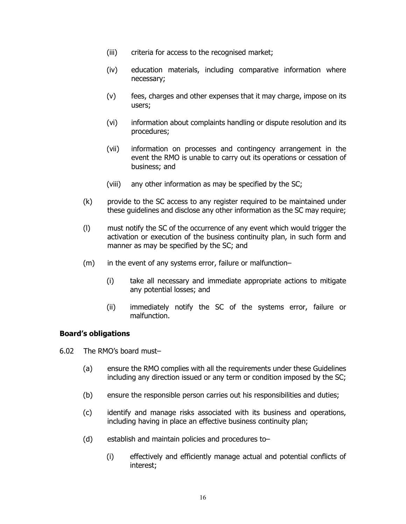- (iii) criteria for access to the recognised market;
- (iv) education materials, including comparative information where necessary;
- (v) fees, charges and other expenses that it may charge, impose on its users;
- (vi) information about complaints handling or dispute resolution and its procedures;
- (vii) information on processes and contingency arrangement in the event the RMO is unable to carry out its operations or cessation of business; and
- (viii) any other information as may be specified by the SC;
- (k) provide to the SC access to any register required to be maintained under these guidelines and disclose any other information as the SC may require;
- (l) must notify the SC of the occurrence of any event which would trigger the activation or execution of the business continuity plan, in such form and manner as may be specified by the SC; and
- (m) in the event of any systems error, failure or malfunction–
	- (i) take all necessary and immediate appropriate actions to mitigate any potential losses; and
	- (ii) immediately notify the SC of the systems error, failure or malfunction.

#### **Board's obligations**

6.02 The RMO's board must–

- (a) ensure the RMO complies with all the requirements under these Guidelines including any direction issued or any term or condition imposed by the SC;
- (b) ensure the responsible person carries out his responsibilities and duties;
- (c) identify and manage risks associated with its business and operations, including having in place an effective business continuity plan;
- (d) establish and maintain policies and procedures to–
	- (i) effectively and efficiently manage actual and potential conflicts of interest;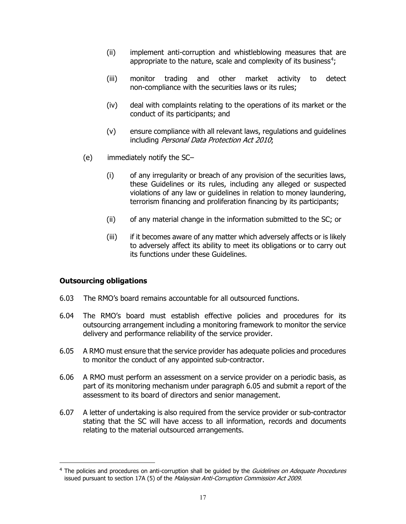- (ii) implement anti-corruption and whistleblowing measures that are appropriate to the nature, scale and complexity of its business<sup>[4](#page-20-0)</sup>;
- (iii) monitor trading and other market activity to detect non-compliance with the securities laws or its rules;
- (iv) deal with complaints relating to the operations of its market or the conduct of its participants; and
- (v) ensure compliance with all relevant laws, regulations and guidelines including Personal Data Protection Act 2010;
- (e) immediately notify the SC–
	- (i) of any irregularity or breach of any provision of the securities laws, these Guidelines or its rules, including any alleged or suspected violations of any law or guidelines in relation to money laundering, terrorism financing and proliferation financing by its participants;
	- (ii) of any material change in the information submitted to the SC; or
	- (iii) if it becomes aware of any matter which adversely affects or is likely to adversely affect its ability to meet its obligations or to carry out its functions under these Guidelines.

#### **Outsourcing obligations**

 $\overline{a}$ 

- 6.03 The RMO's board remains accountable for all outsourced functions.
- 6.04 The RMO's board must establish effective policies and procedures for its outsourcing arrangement including a monitoring framework to monitor the service delivery and performance reliability of the service provider.
- 6.05 A RMO must ensure that the service provider has adequate policies and procedures to monitor the conduct of any appointed sub-contractor.
- 6.06 A RMO must perform an assessment on a service provider on a periodic basis, as part of its monitoring mechanism under paragraph 6.05 and submit a report of the assessment to its board of directors and senior management.
- 6.07 A letter of undertaking is also required from the service provider or sub-contractor stating that the SC will have access to all information, records and documents relating to the material outsourced arrangements.

<span id="page-20-0"></span><sup>&</sup>lt;sup>4</sup> The policies and procedures on anti-corruption shall be quided by the *Guidelines on Adequate Procedures* issued pursuant to section 17A (5) of the Malaysian Anti-Corruption Commission Act 2009.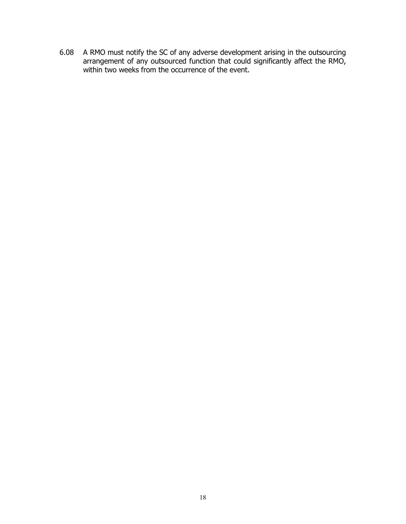6.08 A RMO must notify the SC of any adverse development arising in the outsourcing arrangement of any outsourced function that could significantly affect the RMO, within two weeks from the occurrence of the event.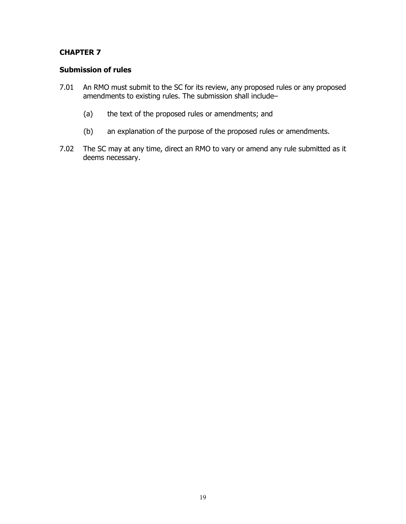#### **CHAPTER 7**

#### **Submission of rules**

- 7.01 An RMO must submit to the SC for its review, any proposed rules or any proposed amendments to existing rules. The submission shall include–
	- (a) the text of the proposed rules or amendments; and
	- (b) an explanation of the purpose of the proposed rules or amendments.
- 7.02 The SC may at any time, direct an RMO to vary or amend any rule submitted as it deems necessary.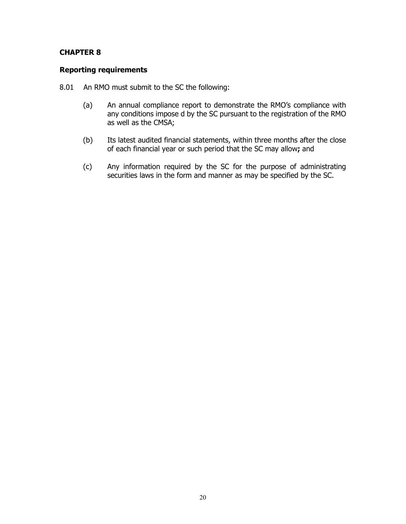#### **CHAPTER 8**

#### **Reporting requirements**

- 8.01 An RMO must submit to the SC the following:
	- (a) An annual compliance report to demonstrate the RMO's compliance with any conditions impose d by the SC pursuant to the registration of the RMO as well as the CMSA;
	- (b) Its latest audited financial statements, within three months after the close of each financial year or such period that the SC may allow**;** and
	- (c) Any information required by the SC for the purpose of administrating securities laws in the form and manner as may be specified by the SC.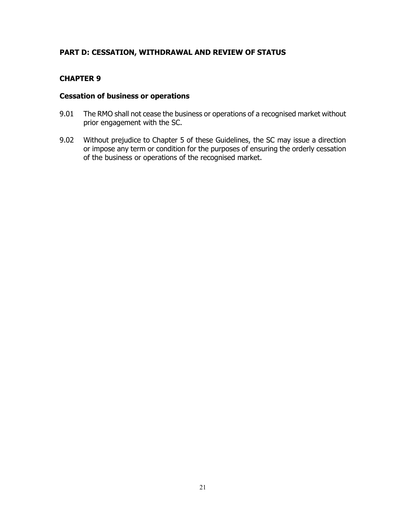#### **PART D: CESSATION, WITHDRAWAL AND REVIEW OF STATUS**

#### **CHAPTER 9**

#### **Cessation of business or operations**

- 9.01 The RMO shall not cease the business or operations of a recognised market without prior engagement with the SC.
- 9.02 Without prejudice to Chapter 5 of these Guidelines, the SC may issue a direction or impose any term or condition for the purposes of ensuring the orderly cessation of the business or operations of the recognised market.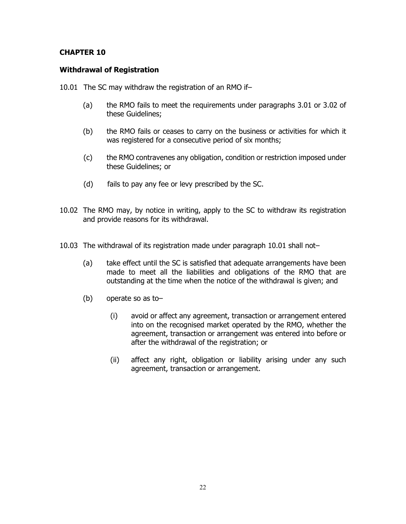#### **CHAPTER 10**

#### **Withdrawal of Registration**

10.01 The SC may withdraw the registration of an RMO if–

- (a) the RMO fails to meet the requirements under paragraphs 3.01 or 3.02 of these Guidelines;
- (b) the RMO fails or ceases to carry on the business or activities for which it was registered for a consecutive period of six months;
- (c) the RMO contravenes any obligation, condition or restriction imposed under these Guidelines; or
- (d) fails to pay any fee or levy prescribed by the SC.
- 10.02 The RMO may, by notice in writing, apply to the SC to withdraw its registration and provide reasons for its withdrawal.
- 10.03 The withdrawal of its registration made under paragraph 10.01 shall not–
	- (a) take effect until the SC is satisfied that adequate arrangements have been made to meet all the liabilities and obligations of the RMO that are outstanding at the time when the notice of the withdrawal is given; and
	- (b) operate so as to–
		- (i) avoid or affect any agreement, transaction or arrangement entered into on the recognised market operated by the RMO, whether the agreement, transaction or arrangement was entered into before or after the withdrawal of the registration; or
		- (ii) affect any right, obligation or liability arising under any such agreement, transaction or arrangement.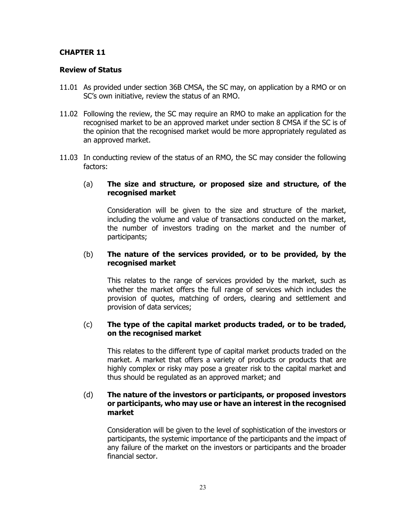#### **CHAPTER 11**

#### **Review of Status**

- 11.01 As provided under section 36B CMSA, the SC may, on application by a RMO or on SC's own initiative, review the status of an RMO.
- 11.02 Following the review, the SC may require an RMO to make an application for the recognised market to be an approved market under section 8 CMSA if the SC is of the opinion that the recognised market would be more appropriately regulated as an approved market.
- 11.03 In conducting review of the status of an RMO, the SC may consider the following factors:

#### (a) **The size and structure, or proposed size and structure, of the recognised market**

Consideration will be given to the size and structure of the market, including the volume and value of transactions conducted on the market, the number of investors trading on the market and the number of participants;

#### (b) **The nature of the services provided, or to be provided, by the recognised market**

This relates to the range of services provided by the market, such as whether the market offers the full range of services which includes the provision of quotes, matching of orders, clearing and settlement and provision of data services;

#### (c) **The type of the capital market products traded, or to be traded, on the recognised market**

This relates to the different type of capital market products traded on the market. A market that offers a variety of products or products that are highly complex or risky may pose a greater risk to the capital market and thus should be regulated as an approved market; and

#### (d) **The nature of the investors or participants, or proposed investors or participants, who may use or have an interest in the recognised market**

Consideration will be given to the level of sophistication of the investors or participants, the systemic importance of the participants and the impact of any failure of the market on the investors or participants and the broader financial sector.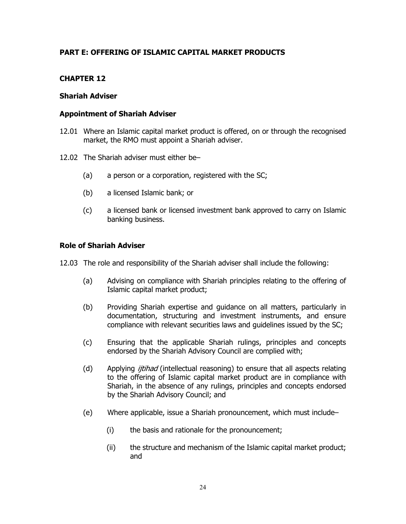#### **PART E: OFFERING OF ISLAMIC CAPITAL MARKET PRODUCTS**

#### **CHAPTER 12**

#### **Shariah Adviser**

#### **Appointment of Shariah Adviser**

- 12.01 Where an Islamic capital market product is offered, on or through the recognised market, the RMO must appoint a Shariah adviser.
- 12.02 The Shariah adviser must either be–
	- (a) a person or a corporation, registered with the SC;
	- (b) a licensed Islamic bank; or
	- (c) a licensed bank or licensed investment bank approved to carry on Islamic banking business.

#### **Role of Shariah Adviser**

12.03 The role and responsibility of the Shariah adviser shall include the following:

- (a) Advising on compliance with Shariah principles relating to the offering of Islamic capital market product;
- (b) Providing Shariah expertise and guidance on all matters, particularly in documentation, structuring and investment instruments, and ensure compliance with relevant securities laws and guidelines issued by the SC;
- (c) Ensuring that the applicable Shariah rulings, principles and concepts endorsed by the Shariah Advisory Council are complied with;
- (d) Applying *ijtihad* (intellectual reasoning) to ensure that all aspects relating to the offering of Islamic capital market product are in compliance with Shariah, in the absence of any rulings, principles and concepts endorsed by the Shariah Advisory Council; and
- (e) Where applicable, issue a Shariah pronouncement, which must include–
	- (i) the basis and rationale for the pronouncement;
	- (ii) the structure and mechanism of the Islamic capital market product; and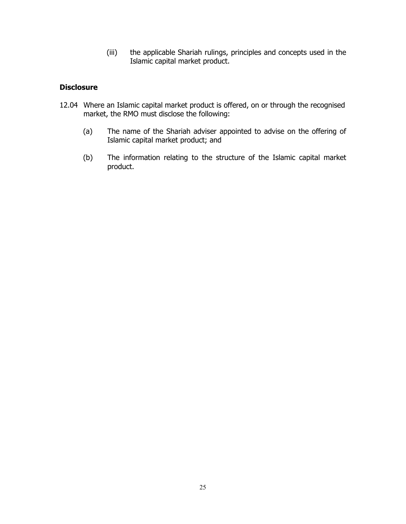(iii) the applicable Shariah rulings, principles and concepts used in the Islamic capital market product.

#### **Disclosure**

- 12.04 Where an Islamic capital market product is offered, on or through the recognised market, the RMO must disclose the following:
	- (a) The name of the Shariah adviser appointed to advise on the offering of Islamic capital market product; and
	- (b) The information relating to the structure of the Islamic capital market product.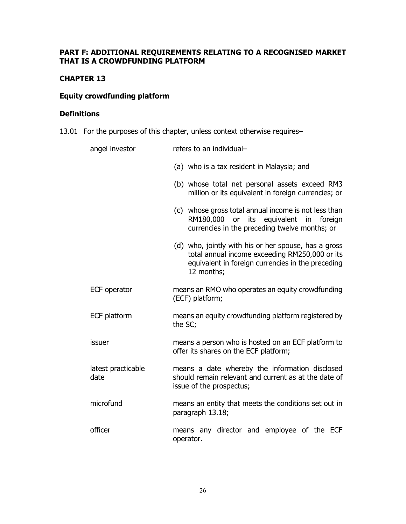#### **PART F: ADDITIONAL REQUIREMENTS RELATING TO A RECOGNISED MARKET THAT IS A CROWDFUNDING PLATFORM**

#### **CHAPTER 13**

#### **Equity crowdfunding platform**

#### **Definitions**

13.01 For the purposes of this chapter, unless context otherwise requires–

| angel investor             | refers to an individual-                                                                                                                                                  |
|----------------------------|---------------------------------------------------------------------------------------------------------------------------------------------------------------------------|
|                            | (a) who is a tax resident in Malaysia; and                                                                                                                                |
|                            | (b) whose total net personal assets exceed RM3<br>million or its equivalent in foreign currencies; or                                                                     |
|                            | (c) whose gross total annual income is not less than<br>RM180,000 or its equivalent in foreign<br>currencies in the preceding twelve months; or                           |
|                            | (d) who, jointly with his or her spouse, has a gross<br>total annual income exceeding RM250,000 or its<br>equivalent in foreign currencies in the preceding<br>12 months; |
| ECF operator               | means an RMO who operates an equity crowdfunding<br>(ECF) platform;                                                                                                       |
| ECF platform               | means an equity crowdfunding platform registered by<br>the SC;                                                                                                            |
| issuer                     | means a person who is hosted on an ECF platform to<br>offer its shares on the ECF platform;                                                                               |
| latest practicable<br>date | means a date whereby the information disclosed<br>should remain relevant and current as at the date of<br>issue of the prospectus;                                        |
| microfund                  | means an entity that meets the conditions set out in<br>paragraph 13.18;                                                                                                  |
| officer                    | means any director and employee of the ECF<br>operator.                                                                                                                   |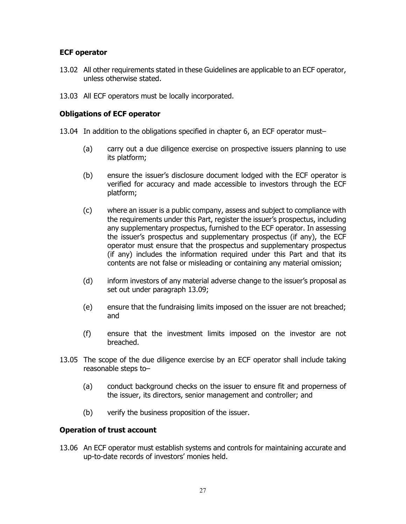#### **ECF operator**

- 13.02 All other requirements stated in these Guidelines are applicable to an ECF operator, unless otherwise stated.
- 13.03 All ECF operators must be locally incorporated.

#### **Obligations of ECF operator**

- 13.04 In addition to the obligations specified in chapter 6, an ECF operator must–
	- (a) carry out a due diligence exercise on prospective issuers planning to use its platform;
	- (b) ensure the issuer's disclosure document lodged with the ECF operator is verified for accuracy and made accessible to investors through the ECF platform;
	- (c) where an issuer is a public company, assess and subject to compliance with the requirements under this Part, register the issuer's prospectus, including any supplementary prospectus, furnished to the ECF operator. In assessing the issuer's prospectus and supplementary prospectus (if any), the ECF operator must ensure that the prospectus and supplementary prospectus (if any) includes the information required under this Part and that its contents are not false or misleading or containing any material omission;
	- (d) inform investors of any material adverse change to the issuer's proposal as set out under paragraph 13.09;
	- (e) ensure that the fundraising limits imposed on the issuer are not breached; and
	- (f) ensure that the investment limits imposed on the investor are not breached.
- 13.05 The scope of the due diligence exercise by an ECF operator shall include taking reasonable steps to–
	- (a) conduct background checks on the issuer to ensure fit and properness of the issuer, its directors, senior management and controller; and
	- (b) verify the business proposition of the issuer.

#### **Operation of trust account**

13.06 An ECF operator must establish systems and controls for maintaining accurate and up-to-date records of investors' monies held.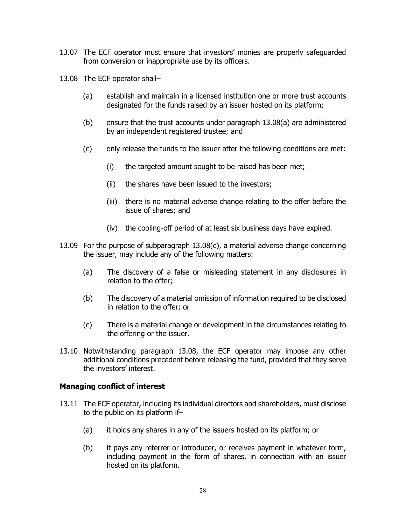- 13.07 The ECF operator must ensure that investors' monies are properly safeguarded from conversion or inappropriate use by its officers.
- 13.08 The ECF operator shall–
	- (a) establish and maintain in a licensed institution one or more trust accounts designated for the funds raised by an issuer hosted on its platform;
	- (b) ensure that the trust accounts under paragraph 13.08(a) are administered by an independent registered trustee; and
	- (c) only release the funds to the issuer after the following conditions are met:
		- (i) the targeted amount sought to be raised has been met;
		- (ii) the shares have been issued to the investors;
		- (iii) there is no material adverse change relating to the offer before the issue of shares; and
		- (iv) the cooling-off period of at least six business days have expired.
- 13.09 For the purpose of subparagraph 13.08(c), a material adverse change concerning the issuer, may include any of the following matters:
	- (a) The discovery of a false or misleading statement in any disclosures in relation to the offer;
	- (b) The discovery of a material omission of information required to be disclosed in relation to the offer; or
	- (c) There is a material change or development in the circumstances relating to the offering or the issuer.
- 13.10 Notwithstanding paragraph 13.08, the ECF operator may impose any other additional conditions precedent before releasing the fund, provided that they serve the investors' interest.

#### **Managing conflict of interest**

- 13.11 The ECF operator, including its individual directors and shareholders, must disclose to the public on its platform if–
	- (a) it holds any shares in any of the issuers hosted on its platform; or
	- (b) it pays any referrer or introducer, or receives payment in whatever form, including payment in the form of shares, in connection with an issuer hosted on its platform.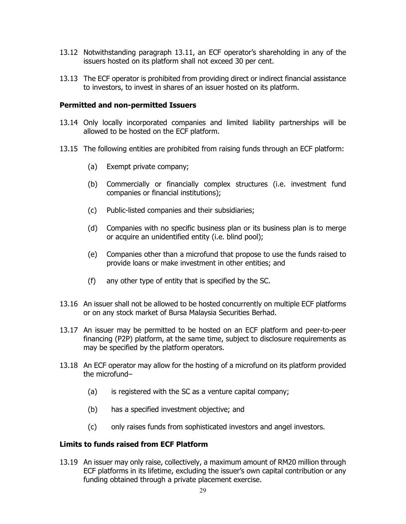- 13.12 Notwithstanding paragraph 13.11, an ECF operator's shareholding in any of the issuers hosted on its platform shall not exceed 30 per cent.
- 13.13 The ECF operator is prohibited from providing direct or indirect financial assistance to investors, to invest in shares of an issuer hosted on its platform.

#### **Permitted and non-permitted Issuers**

- 13.14 Only locally incorporated companies and limited liability partnerships will be allowed to be hosted on the ECF platform.
- 13.15 The following entities are prohibited from raising funds through an ECF platform:
	- (a) Exempt private company;
	- (b) Commercially or financially complex structures (i.e. investment fund companies or financial institutions);
	- (c) Public-listed companies and their subsidiaries;
	- (d) Companies with no specific business plan or its business plan is to merge or acquire an unidentified entity (i.e. blind pool);
	- (e) Companies other than a microfund that propose to use the funds raised to provide loans or make investment in other entities; and
	- (f) any other type of entity that is specified by the SC.
- 13.16 An issuer shall not be allowed to be hosted concurrently on multiple ECF platforms or on any stock market of Bursa Malaysia Securities Berhad.
- 13.17 An issuer may be permitted to be hosted on an ECF platform and peer-to-peer financing (P2P) platform, at the same time, subject to disclosure requirements as may be specified by the platform operators.
- 13.18 An ECF operator may allow for the hosting of a microfund on its platform provided the microfund–
	- (a) is registered with the SC as a venture capital company;
	- (b) has a specified investment objective; and
	- (c) only raises funds from sophisticated investors and angel investors.

#### **Limits to funds raised from ECF Platform**

13.19 An issuer may only raise, collectively, a maximum amount of RM20 million through ECF platforms in its lifetime, excluding the issuer's own capital contribution or any funding obtained through a private placement exercise.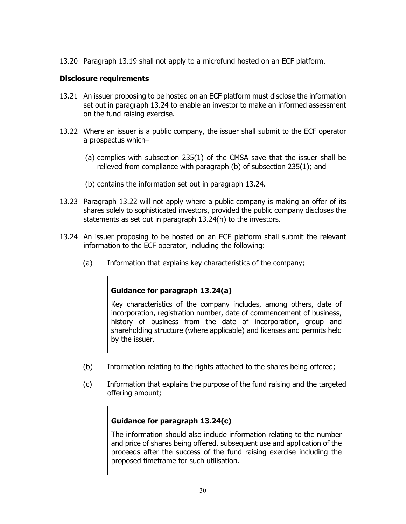13.20 Paragraph 13.19 shall not apply to a microfund hosted on an ECF platform.

#### **Disclosure requirements**

- 13.21 An issuer proposing to be hosted on an ECF platform must disclose the information set out in paragraph 13.24 to enable an investor to make an informed assessment on the fund raising exercise.
- 13.22 Where an issuer is a public company, the issuer shall submit to the ECF operator a prospectus which–
	- (a) complies with subsection 235(1) of the CMSA save that the issuer shall be relieved from compliance with paragraph (b) of subsection 235(1); and
	- (b) contains the information set out in paragraph 13.24.
- 13.23 Paragraph 13.22 will not apply where a public company is making an offer of its shares solely to sophisticated investors, provided the public company discloses the statements as set out in paragraph 13.24(h) to the investors.
- 13.24 An issuer proposing to be hosted on an ECF platform shall submit the relevant information to the ECF operator, including the following:
	- (a) Information that explains key characteristics of the company;

#### **Guidance for paragraph 13.24(a)**

Key characteristics of the company includes, among others, date of incorporation, registration number, date of commencement of business, history of business from the date of incorporation, group and shareholding structure (where applicable) and licenses and permits held by the issuer.

- (b) Information relating to the rights attached to the shares being offered;
- (c) Information that explains the purpose of the fund raising and the targeted offering amount;

#### **Guidance for paragraph 13.24(c)**

The information should also include information relating to the number and price of shares being offered, subsequent use and application of the proceeds after the success of the fund raising exercise including the proposed timeframe for such utilisation.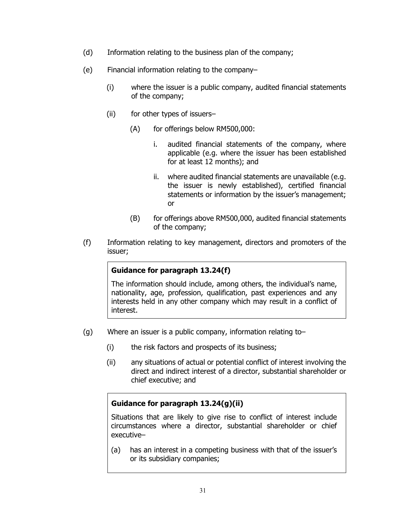- (d) Information relating to the business plan of the company;
- (e) Financial information relating to the company–
	- (i) where the issuer is a public company, audited financial statements of the company;
	- (ii) for other types of issuers–
		- (A) for offerings below RM500,000:
			- i. audited financial statements of the company, where applicable (e.g. where the issuer has been established for at least 12 months); and
			- ii. where audited financial statements are unavailable (e.g. the issuer is newly established), certified financial statements or information by the issuer's management; or
		- (B) for offerings above RM500,000, audited financial statements of the company;
- (f) Information relating to key management, directors and promoters of the issuer;

#### **Guidance for paragraph 13.24(f)**

The information should include, among others, the individual's name, nationality, age, profession, qualification, past experiences and any interests held in any other company which may result in a conflict of interest.

- (g) Where an issuer is a public company, information relating to–
	- (i) the risk factors and prospects of its business;
	- (ii) any situations of actual or potential conflict of interest involving the direct and indirect interest of a director, substantial shareholder or chief executive; and

#### **Guidance for paragraph 13.24(g)(ii)**

Situations that are likely to give rise to conflict of interest include circumstances where a director, substantial shareholder or chief executive–

(a) has an interest in a competing business with that of the issuer's or its subsidiary companies;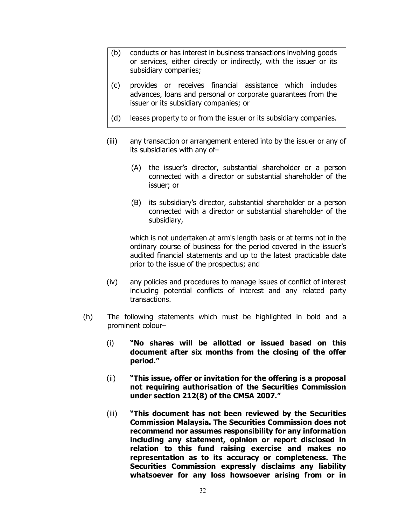- (b) conducts or has interest in business transactions involving goods or services, either directly or indirectly, with the issuer or its subsidiary companies;
- (c) provides or receives financial assistance which includes advances, loans and personal or corporate guarantees from the issuer or its subsidiary companies; or
- (d) leases property to or from the issuer or its subsidiary companies.
- (iii) any transaction or arrangement entered into by the issuer or any of its subsidiaries with any of–
	- (A) the issuer's director, substantial shareholder or a person connected with a director or substantial shareholder of the issuer; or
	- (B) its subsidiary's director, substantial shareholder or a person connected with a director or substantial shareholder of the subsidiary,

which is not undertaken at arm's length basis or at terms not in the ordinary course of business for the period covered in the issuer's audited financial statements and up to the latest practicable date prior to the issue of the prospectus; and

- (iv) any policies and procedures to manage issues of conflict of interest including potential conflicts of interest and any related party transactions.
- (h) The following statements which must be highlighted in bold and a prominent colour–
	- (i) **"No shares will be allotted or issued based on this document after six months from the closing of the offer period."**
	- (ii) **"This issue, offer or invitation for the offering is a proposal not requiring authorisation of the Securities Commission under section 212(8) of the CMSA 2007."**
	- (iii) **"This document has not been reviewed by the Securities Commission Malaysia. The Securities Commission does not recommend nor assumes responsibility for any information including any statement, opinion or report disclosed in relation to this fund raising exercise and makes no representation as to its accuracy or completeness. The Securities Commission expressly disclaims any liability whatsoever for any loss howsoever arising from or in**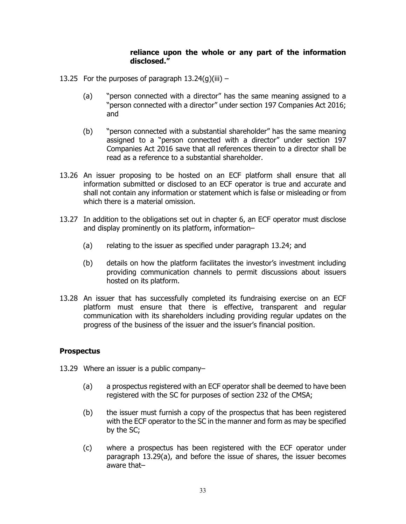#### **reliance upon the whole or any part of the information disclosed."**

- 13.25 For the purposes of paragraph  $13.24(q)(iii)$ 
	- (a) "person connected with a director" has the same meaning assigned to a "person connected with a director" under section 197 Companies Act 2016; and
	- (b) "person connected with a substantial shareholder" has the same meaning assigned to a "person connected with a director" under section 197 Companies Act 2016 save that all references therein to a director shall be read as a reference to a substantial shareholder.
- 13.26 An issuer proposing to be hosted on an ECF platform shall ensure that all information submitted or disclosed to an ECF operator is true and accurate and shall not contain any information or statement which is false or misleading or from which there is a material omission.
- 13.27 In addition to the obligations set out in chapter 6, an ECF operator must disclose and display prominently on its platform, information–
	- (a) relating to the issuer as specified under paragraph 13.24; and
	- (b) details on how the platform facilitates the investor's investment including providing communication channels to permit discussions about issuers hosted on its platform.
- 13.28 An issuer that has successfully completed its fundraising exercise on an ECF platform must ensure that there is effective, transparent and regular communication with its shareholders including providing regular updates on the progress of the business of the issuer and the issuer's financial position.

#### **Prospectus**

- 13.29 Where an issuer is a public company–
	- (a) a prospectus registered with an ECF operator shall be deemed to have been registered with the SC for purposes of section 232 of the CMSA;
	- (b) the issuer must furnish a copy of the prospectus that has been registered with the ECF operator to the SC in the manner and form as may be specified by the SC;
	- (c) where a prospectus has been registered with the ECF operator under paragraph 13.29(a), and before the issue of shares, the issuer becomes aware that–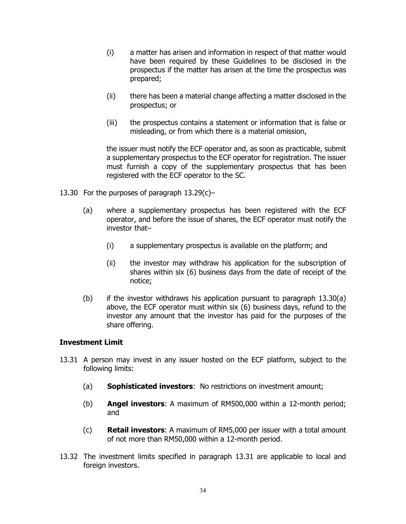- (i) a matter has arisen and information in respect of that matter would have been required by these Guidelines to be disclosed in the prospectus if the matter has arisen at the time the prospectus was prepared;
- (ii) there has been a material change affecting a matter disclosed in the prospectus; or
- (iii) the prospectus contains a statement or information that is false or misleading, or from which there is a material omission,

the issuer must notify the ECF operator and, as soon as practicable, submit a supplementary prospectus to the ECF operator for registration. The issuer must furnish a copy of the supplementary prospectus that has been registered with the ECF operator to the SC.

- 13.30 For the purposes of paragraph 13.29(c)–
	- (a) where a supplementary prospectus has been registered with the ECF operator, and before the issue of shares, the ECF operator must notify the investor that–
		- (i) a supplementary prospectus is available on the platform; and
		- (ii) the investor may withdraw his application for the subscription of shares within six (6) business days from the date of receipt of the notice;
	- (b) if the investor withdraws his application pursuant to paragraph 13.30(a) above, the ECF operator must within six (6) business days, refund to the investor any amount that the investor has paid for the purposes of the share offering.

#### **Investment Limit**

- 13.31 A person may invest in any issuer hosted on the ECF platform, subject to the following limits:
	- (a) **Sophisticated investors**: No restrictions on investment amount;
	- (b) **Angel investors**: A maximum of RM500,000 within a 12-month period; and
	- (c) **Retail investors**: A maximum of RM5,000 per issuer with a total amount of not more than RM50,000 within a 12-month period.
- 13.32 The investment limits specified in paragraph 13.31 are applicable to local and foreign investors.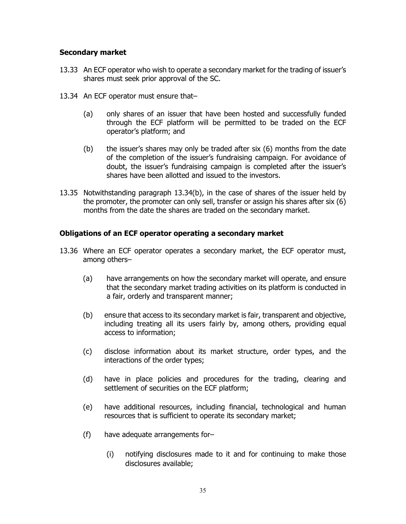#### **Secondary market**

- 13.33 An ECF operator who wish to operate a secondary market for the trading of issuer's shares must seek prior approval of the SC.
- 13.34 An ECF operator must ensure that–
	- (a) only shares of an issuer that have been hosted and successfully funded through the ECF platform will be permitted to be traded on the ECF operator's platform; and
	- (b) the issuer's shares may only be traded after six (6) months from the date of the completion of the issuer's fundraising campaign. For avoidance of doubt, the issuer's fundraising campaign is completed after the issuer's shares have been allotted and issued to the investors.
- 13.35 Notwithstanding paragraph 13.34(b), in the case of shares of the issuer held by the promoter, the promoter can only sell, transfer or assign his shares after six (6) months from the date the shares are traded on the secondary market.

#### **Obligations of an ECF operator operating a secondary market**

- 13.36 Where an ECF operator operates a secondary market, the ECF operator must, among others–
	- (a) have arrangements on how the secondary market will operate, and ensure that the secondary market trading activities on its platform is conducted in a fair, orderly and transparent manner;
	- (b) ensure that access to its secondary market is fair, transparent and objective, including treating all its users fairly by, among others, providing equal access to information;
	- (c) disclose information about its market structure, order types, and the interactions of the order types;
	- (d) have in place policies and procedures for the trading, clearing and settlement of securities on the ECF platform;
	- (e) have additional resources, including financial, technological and human resources that is sufficient to operate its secondary market;
	- (f) have adequate arrangements for–
		- (i) notifying disclosures made to it and for continuing to make those disclosures available;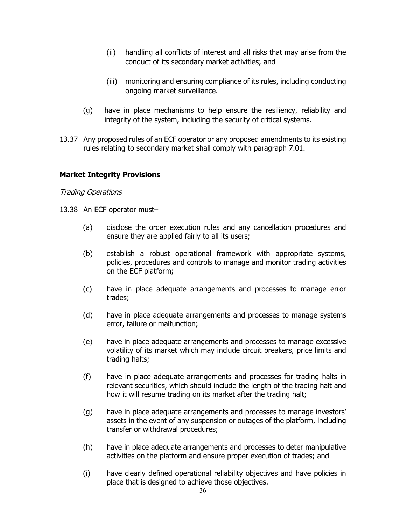- (ii) handling all conflicts of interest and all risks that may arise from the conduct of its secondary market activities; and
- (iii) monitoring and ensuring compliance of its rules, including conducting ongoing market surveillance.
- (g) have in place mechanisms to help ensure the resiliency, reliability and integrity of the system, including the security of critical systems.
- 13.37 Any proposed rules of an ECF operator or any proposed amendments to its existing rules relating to secondary market shall comply with paragraph 7.01.

#### **Market Integrity Provisions**

#### **Trading Operations**

- 13.38 An ECF operator must–
	- (a) disclose the order execution rules and any cancellation procedures and ensure they are applied fairly to all its users;
	- (b) establish a robust operational framework with appropriate systems, policies, procedures and controls to manage and monitor trading activities on the ECF platform;
	- (c) have in place adequate arrangements and processes to manage error trades;
	- (d) have in place adequate arrangements and processes to manage systems error, failure or malfunction;
	- (e) have in place adequate arrangements and processes to manage excessive volatility of its market which may include circuit breakers, price limits and trading halts;
	- (f) have in place adequate arrangements and processes for trading halts in relevant securities, which should include the length of the trading halt and how it will resume trading on its market after the trading halt;
	- (g) have in place adequate arrangements and processes to manage investors' assets in the event of any suspension or outages of the platform, including transfer or withdrawal procedures;
	- (h) have in place adequate arrangements and processes to deter manipulative activities on the platform and ensure proper execution of trades; and
	- (i) have clearly defined operational reliability objectives and have policies in place that is designed to achieve those objectives.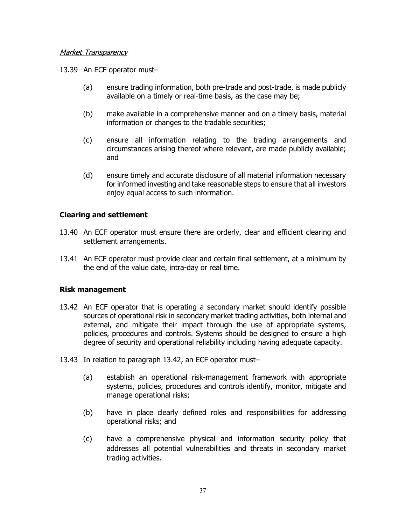#### Market Transparency

- 13.39 An ECF operator must–
	- (a) ensure trading information, both pre-trade and post-trade, is made publicly available on a timely or real-time basis, as the case may be;
	- (b) make available in a comprehensive manner and on a timely basis, material information or changes to the tradable securities;
	- (c) ensure all information relating to the trading arrangements and circumstances arising thereof where relevant, are made publicly available; and
	- (d) ensure timely and accurate disclosure of all material information necessary for informed investing and take reasonable steps to ensure that all investors enjoy equal access to such information.

#### **Clearing and settlement**

- 13.40 An ECF operator must ensure there are orderly, clear and efficient clearing and settlement arrangements.
- 13.41 An ECF operator must provide clear and certain final settlement, at a minimum by the end of the value date, intra-day or real time.

#### **Risk management**

- 13.42 An ECF operator that is operating a secondary market should identify possible sources of operational risk in secondary market trading activities, both internal and external, and mitigate their impact through the use of appropriate systems, policies, procedures and controls. Systems should be designed to ensure a high degree of security and operational reliability including having adequate capacity.
- 13.43 In relation to paragraph 13.42, an ECF operator must–
	- (a) establish an operational risk-management framework with appropriate systems, policies, procedures and controls identify, monitor, mitigate and manage operational risks;
	- (b) have in place clearly defined roles and responsibilities for addressing operational risks; and
	- (c) have a comprehensive physical and information security policy that addresses all potential vulnerabilities and threats in secondary market trading activities.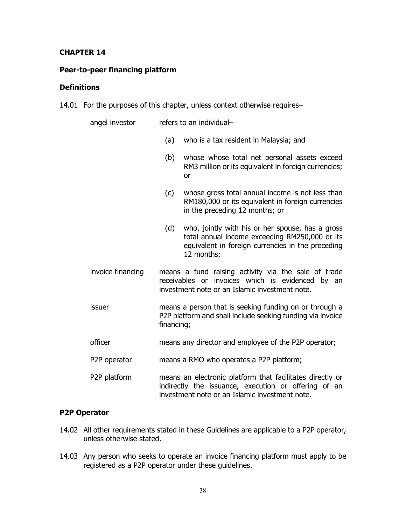#### **CHAPTER 14**

#### **Peer-to-peer financing platform**

#### **Definitions**

14.01 For the purposes of this chapter, unless context otherwise requires–

| angel investor    | refers to an individual-                                                                                                                                                     |  |
|-------------------|------------------------------------------------------------------------------------------------------------------------------------------------------------------------------|--|
|                   | (a)<br>who is a tax resident in Malaysia; and                                                                                                                                |  |
|                   | (b)<br>whose whose total net personal assets exceed<br>RM3 million or its equivalent in foreign currencies;<br>or                                                            |  |
|                   | whose gross total annual income is not less than<br>(c)<br>RM180,000 or its equivalent in foreign currencies<br>in the preceding 12 months; or                               |  |
|                   | (d)<br>who, jointly with his or her spouse, has a gross<br>total annual income exceeding RM250,000 or its<br>equivalent in foreign currencies in the preceding<br>12 months; |  |
| invoice financing | means a fund raising activity via the sale of trade<br>receivables or invoices which is evidenced by an<br>investment note or an Islamic investment note.                    |  |
| issuer            | means a person that is seeking funding on or through a<br>P2P platform and shall include seeking funding via invoice<br>financing;                                           |  |
| officer           | means any director and employee of the P2P operator;                                                                                                                         |  |
| P2P operator      | means a RMO who operates a P2P platform;                                                                                                                                     |  |
| P2P platform      | means an electronic platform that facilitates directly or<br>indirectly the issuance, execution or offering of an<br>investment note or an Islamic investment note.          |  |

## **P2P Operator**

- 14.02 All other requirements stated in these Guidelines are applicable to a P2P operator, unless otherwise stated.
- 14.03 Any person who seeks to operate an invoice financing platform must apply to be registered as a P2P operator under these guidelines.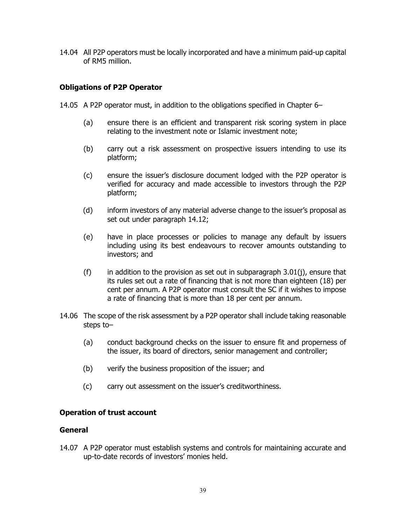14.04 All P2P operators must be locally incorporated and have a minimum paid-up capital of RM5 million.

#### **Obligations of P2P Operator**

- 14.05 A P2P operator must, in addition to the obligations specified in Chapter 6–
	- (a) ensure there is an efficient and transparent risk scoring system in place relating to the investment note or Islamic investment note;
	- (b) carry out a risk assessment on prospective issuers intending to use its platform;
	- (c) ensure the issuer's disclosure document lodged with the P2P operator is verified for accuracy and made accessible to investors through the P2P platform;
	- (d) inform investors of any material adverse change to the issuer's proposal as set out under paragraph 14.12;
	- (e) have in place processes or policies to manage any default by issuers including using its best endeavours to recover amounts outstanding to investors; and
	- (f) in addition to the provision as set out in subparagraph  $3.01(i)$ , ensure that its rules set out a rate of financing that is not more than eighteen (18) per cent per annum. A P2P operator must consult the SC if it wishes to impose a rate of financing that is more than 18 per cent per annum.
- 14.06 The scope of the risk assessment by a P2P operator shall include taking reasonable steps to–
	- (a) conduct background checks on the issuer to ensure fit and properness of the issuer, its board of directors, senior management and controller;
	- (b) verify the business proposition of the issuer; and
	- (c) carry out assessment on the issuer's creditworthiness.

#### **Operation of trust account**

#### **General**

14.07 A P2P operator must establish systems and controls for maintaining accurate and up-to-date records of investors' monies held.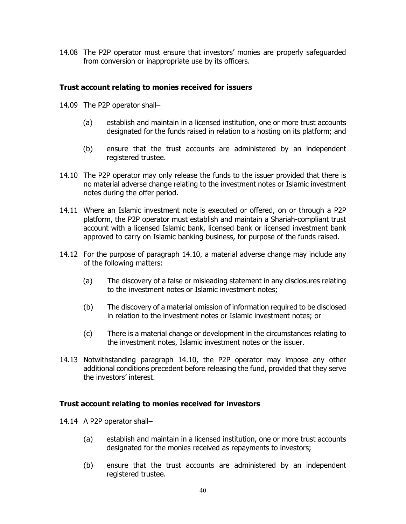14.08 The P2P operator must ensure that investors' monies are properly safeguarded from conversion or inappropriate use by its officers.

#### **Trust account relating to monies received for issuers**

- 14.09 The P2P operator shall–
	- (a) establish and maintain in a licensed institution, one or more trust accounts designated for the funds raised in relation to a hosting on its platform; and
	- (b) ensure that the trust accounts are administered by an independent registered trustee.
- 14.10 The P2P operator may only release the funds to the issuer provided that there is no material adverse change relating to the investment notes or Islamic investment notes during the offer period.
- 14.11 Where an Islamic investment note is executed or offered, on or through a P2P platform, the P2P operator must establish and maintain a Shariah-compliant trust account with a licensed Islamic bank, licensed bank or licensed investment bank approved to carry on Islamic banking business, for purpose of the funds raised.
- 14.12 For the purpose of paragraph 14.10, a material adverse change may include any of the following matters:
	- (a) The discovery of a false or misleading statement in any disclosures relating to the investment notes or Islamic investment notes;
	- (b) The discovery of a material omission of information required to be disclosed in relation to the investment notes or Islamic investment notes; or
	- (c) There is a material change or development in the circumstances relating to the investment notes, Islamic investment notes or the issuer.
- 14.13 Notwithstanding paragraph 14.10, the P2P operator may impose any other additional conditions precedent before releasing the fund, provided that they serve the investors' interest.

#### **Trust account relating to monies received for investors**

- 14.14 A P2P operator shall–
	- (a) establish and maintain in a licensed institution, one or more trust accounts designated for the monies received as repayments to investors;
	- (b) ensure that the trust accounts are administered by an independent registered trustee.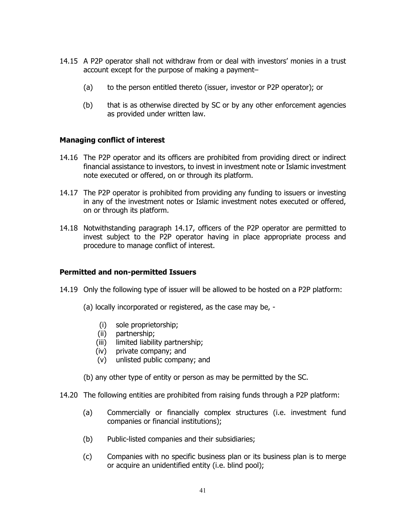- 14.15 A P2P operator shall not withdraw from or deal with investors' monies in a trust account except for the purpose of making a payment–
	- (a) to the person entitled thereto (issuer, investor or P2P operator); or
	- (b) that is as otherwise directed by SC or by any other enforcement agencies as provided under written law.

#### **Managing conflict of interest**

- 14.16 The P2P operator and its officers are prohibited from providing direct or indirect financial assistance to investors, to invest in investment note or Islamic investment note executed or offered, on or through its platform.
- 14.17 The P2P operator is prohibited from providing any funding to issuers or investing in any of the investment notes or Islamic investment notes executed or offered, on or through its platform.
- 14.18 Notwithstanding paragraph 14.17, officers of the P2P operator are permitted to invest subject to the P2P operator having in place appropriate process and procedure to manage conflict of interest.

#### **Permitted and non-permitted Issuers**

- 14.19 Only the following type of issuer will be allowed to be hosted on a P2P platform:
	- (a) locally incorporated or registered, as the case may be,
		- (i) sole proprietorship;
		- (ii) partnership;
		- (iii) limited liability partnership;
		- (iv) private company; and
		- (v) unlisted public company; and
	- (b) any other type of entity or person as may be permitted by the SC.
- 14.20 The following entities are prohibited from raising funds through a P2P platform:
	- (a) Commercially or financially complex structures (i.e. investment fund companies or financial institutions);
	- (b) Public-listed companies and their subsidiaries;
	- (c) Companies with no specific business plan or its business plan is to merge or acquire an unidentified entity (i.e. blind pool);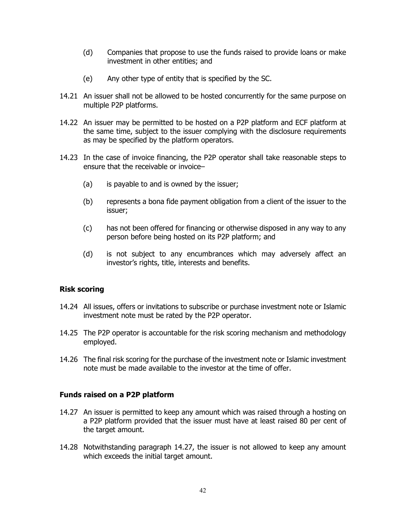- (d) Companies that propose to use the funds raised to provide loans or make investment in other entities; and
- (e) Any other type of entity that is specified by the SC.
- 14.21 An issuer shall not be allowed to be hosted concurrently for the same purpose on multiple P2P platforms.
- 14.22 An issuer may be permitted to be hosted on a P2P platform and ECF platform at the same time, subject to the issuer complying with the disclosure requirements as may be specified by the platform operators.
- 14.23 In the case of invoice financing, the P2P operator shall take reasonable steps to ensure that the receivable or invoice–
	- (a) is payable to and is owned by the issuer;
	- (b) represents a bona fide payment obligation from a client of the issuer to the issuer;
	- (c) has not been offered for financing or otherwise disposed in any way to any person before being hosted on its P2P platform; and
	- (d) is not subject to any encumbrances which may adversely affect an investor's rights, title, interests and benefits.

#### **Risk scoring**

- 14.24 All issues, offers or invitations to subscribe or purchase investment note or Islamic investment note must be rated by the P2P operator.
- 14.25 The P2P operator is accountable for the risk scoring mechanism and methodology employed.
- 14.26 The final risk scoring for the purchase of the investment note or Islamic investment note must be made available to the investor at the time of offer.

#### **Funds raised on a P2P platform**

- 14.27 An issuer is permitted to keep any amount which was raised through a hosting on a P2P platform provided that the issuer must have at least raised 80 per cent of the target amount.
- 14.28 Notwithstanding paragraph 14.27, the issuer is not allowed to keep any amount which exceeds the initial target amount.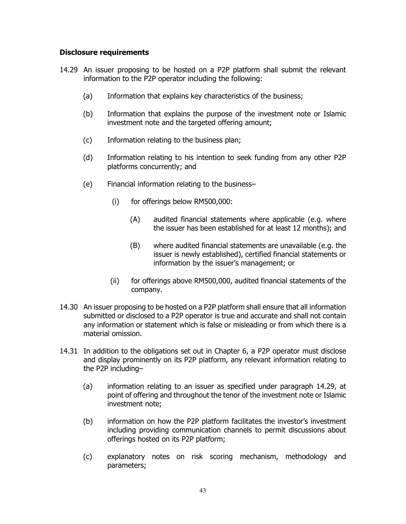#### **Disclosure requirements**

- 14.29 An issuer proposing to be hosted on a P2P platform shall submit the relevant information to the P2P operator including the following:
	- (a) Information that explains key characteristics of the business;
	- (b) Information that explains the purpose of the investment note or Islamic investment note and the targeted offering amount;
	- (c) Information relating to the business plan;
	- (d) Information relating to his intention to seek funding from any other P2P platforms concurrently; and
	- (e) Financial information relating to the business–
		- (i) for offerings below RM500,000:
			- (A) audited financial statements where applicable (e.g. where the issuer has been established for at least 12 months); and
			- (B) where audited financial statements are unavailable (e.g. the issuer is newly established), certified financial statements or information by the issuer's management; or
		- (ii) for offerings above RM500,000, audited financial statements of the company.
- 14.30 An issuer proposing to be hosted on a P2P platform shall ensure that all information submitted or disclosed to a P2P operator is true and accurate and shall not contain any information or statement which is false or misleading or from which there is a material omission.
- 14.31 In addition to the obligations set out in Chapter 6, a P2P operator must disclose and display prominently on its P2P platform, any relevant information relating to the P2P including–
	- (a) information relating to an issuer as specified under paragraph 14.29, at point of offering and throughout the tenor of the investment note or Islamic investment note;
	- (b) information on how the P2P platform facilitates the investor's investment including providing communication channels to permit discussions about offerings hosted on its P2P platform;
	- (c) explanatory notes on risk scoring mechanism, methodology and parameters;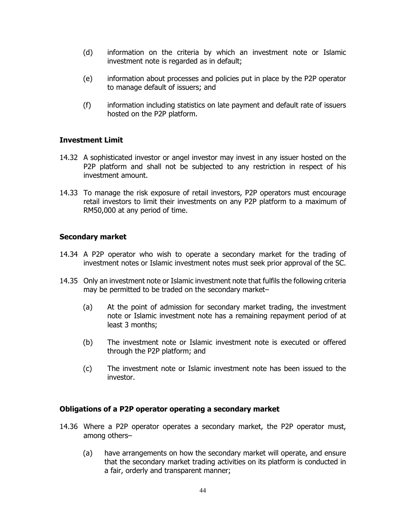- (d) information on the criteria by which an investment note or Islamic investment note is regarded as in default;
- (e) information about processes and policies put in place by the P2P operator to manage default of issuers; and
- (f) information including statistics on late payment and default rate of issuers hosted on the P2P platform.

#### **Investment Limit**

- 14.32 A sophisticated investor or angel investor may invest in any issuer hosted on the P2P platform and shall not be subjected to any restriction in respect of his investment amount.
- 14.33 To manage the risk exposure of retail investors, P2P operators must encourage retail investors to limit their investments on any P2P platform to a maximum of RM50,000 at any period of time.

#### **Secondary market**

- 14.34 A P2P operator who wish to operate a secondary market for the trading of investment notes or Islamic investment notes must seek prior approval of the SC.
- 14.35 Only an investment note or Islamic investment note that fulfils the following criteria may be permitted to be traded on the secondary market–
	- (a) At the point of admission for secondary market trading, the investment note or Islamic investment note has a remaining repayment period of at least 3 months;
	- (b) The investment note or Islamic investment note is executed or offered through the P2P platform; and
	- (c) The investment note or Islamic investment note has been issued to the investor.

#### **Obligations of a P2P operator operating a secondary market**

- 14.36 Where a P2P operator operates a secondary market, the P2P operator must, among others–
	- (a) have arrangements on how the secondary market will operate, and ensure that the secondary market trading activities on its platform is conducted in a fair, orderly and transparent manner;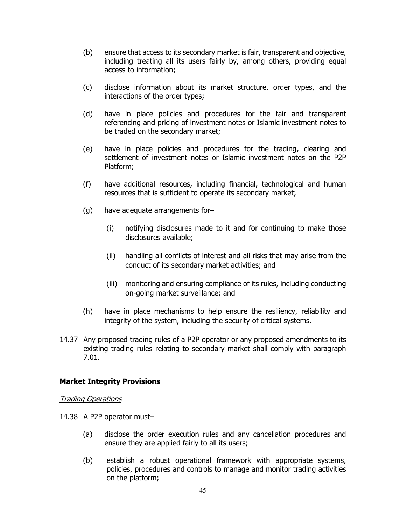- (b) ensure that access to its secondary market is fair, transparent and objective, including treating all its users fairly by, among others, providing equal access to information;
- (c) disclose information about its market structure, order types, and the interactions of the order types;
- (d) have in place policies and procedures for the fair and transparent referencing and pricing of investment notes or Islamic investment notes to be traded on the secondary market;
- (e) have in place policies and procedures for the trading, clearing and settlement of investment notes or Islamic investment notes on the P2P Platform;
- (f) have additional resources, including financial, technological and human resources that is sufficient to operate its secondary market;
- (g) have adequate arrangements for–
	- (i) notifying disclosures made to it and for continuing to make those disclosures available;
	- (ii) handling all conflicts of interest and all risks that may arise from the conduct of its secondary market activities; and
	- (iii) monitoring and ensuring compliance of its rules, including conducting on-going market surveillance; and
- (h) have in place mechanisms to help ensure the resiliency, reliability and integrity of the system, including the security of critical systems.
- 14.37 Any proposed trading rules of a P2P operator or any proposed amendments to its existing trading rules relating to secondary market shall comply with paragraph 7.01.

#### **Market Integrity Provisions**

#### Trading Operations

- 14.38 A P2P operator must–
	- (a) disclose the order execution rules and any cancellation procedures and ensure they are applied fairly to all its users;
	- (b) establish a robust operational framework with appropriate systems, policies, procedures and controls to manage and monitor trading activities on the platform;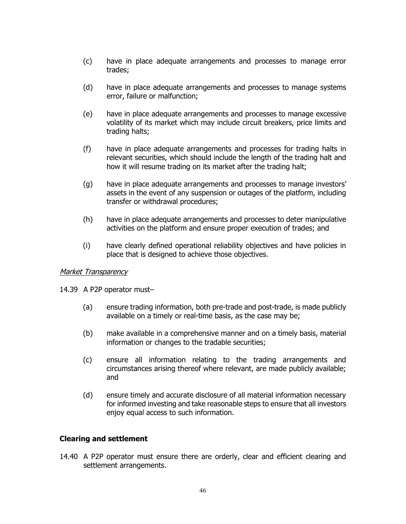- (c) have in place adequate arrangements and processes to manage error trades;
- (d) have in place adequate arrangements and processes to manage systems error, failure or malfunction;
- (e) have in place adequate arrangements and processes to manage excessive volatility of its market which may include circuit breakers, price limits and trading halts;
- (f) have in place adequate arrangements and processes for trading halts in relevant securities, which should include the length of the trading halt and how it will resume trading on its market after the trading halt;
- (g) have in place adequate arrangements and processes to manage investors' assets in the event of any suspension or outages of the platform, including transfer or withdrawal procedures;
- (h) have in place adequate arrangements and processes to deter manipulative activities on the platform and ensure proper execution of trades; and
- (i) have clearly defined operational reliability objectives and have policies in place that is designed to achieve those objectives.

#### **Market Transparency**

- 14.39 A P2P operator must–
	- (a) ensure trading information, both pre-trade and post-trade, is made publicly available on a timely or real-time basis, as the case may be;
	- (b) make available in a comprehensive manner and on a timely basis, material information or changes to the tradable securities;
	- (c) ensure all information relating to the trading arrangements and circumstances arising thereof where relevant, are made publicly available; and
	- (d) ensure timely and accurate disclosure of all material information necessary for informed investing and take reasonable steps to ensure that all investors enjoy equal access to such information.

#### **Clearing and settlement**

14.40 A P2P operator must ensure there are orderly, clear and efficient clearing and settlement arrangements.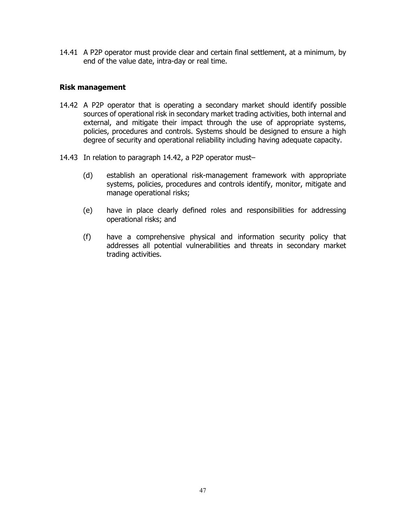14.41 A P2P operator must provide clear and certain final settlement, at a minimum, by end of the value date, intra-day or real time.

#### **Risk management**

- 14.42 A P2P operator that is operating a secondary market should identify possible sources of operational risk in secondary market trading activities, both internal and external, and mitigate their impact through the use of appropriate systems, policies, procedures and controls. Systems should be designed to ensure a high degree of security and operational reliability including having adequate capacity.
- 14.43 In relation to paragraph 14.42, a P2P operator must–
	- (d) establish an operational risk-management framework with appropriate systems, policies, procedures and controls identify, monitor, mitigate and manage operational risks;
	- (e) have in place clearly defined roles and responsibilities for addressing operational risks; and
	- (f) have a comprehensive physical and information security policy that addresses all potential vulnerabilities and threats in secondary market trading activities.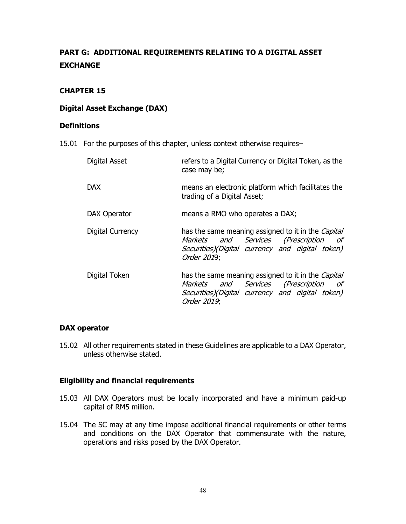# **PART G: ADDITIONAL REQUIREMENTS RELATING TO A DIGITAL ASSET EXCHANGE**

#### **CHAPTER 15**

#### **Digital Asset Exchange (DAX)**

#### **Definitions**

15.01 For the purposes of this chapter, unless context otherwise requires–

| Digital Asset           | refers to a Digital Currency or Digital Token, as the<br>case may be;                                                                                                |
|-------------------------|----------------------------------------------------------------------------------------------------------------------------------------------------------------------|
| <b>DAX</b>              | means an electronic platform which facilitates the<br>trading of a Digital Asset;                                                                                    |
| DAX Operator            | means a RMO who operates a DAX;                                                                                                                                      |
| <b>Digital Currency</b> | has the same meaning assigned to it in the <i>Capital</i><br>Markets and Services (Prescription of<br>Securities)(Digital currency and digital token)<br>Order 2019; |
| Digital Token           | has the same meaning assigned to it in the <i>Capital</i><br>Markets and Services (Prescription of<br>Securities)(Digital currency and digital token)<br>Order 2019; |

#### **DAX operator**

15.02 All other requirements stated in these Guidelines are applicable to a DAX Operator, unless otherwise stated.

#### **Eligibility and financial requirements**

- 15.03 All DAX Operators must be locally incorporated and have a minimum paid-up capital of RM5 million.
- 15.04 The SC may at any time impose additional financial requirements or other terms and conditions on the DAX Operator that commensurate with the nature, operations and risks posed by the DAX Operator.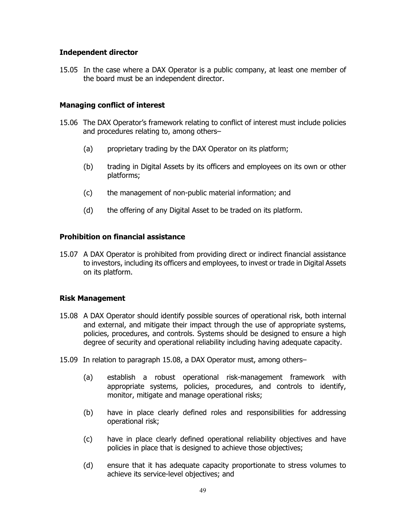#### **Independent director**

15.05 In the case where a DAX Operator is a public company, at least one member of the board must be an independent director.

#### **Managing conflict of interest**

- 15.06 The DAX Operator's framework relating to conflict of interest must include policies and procedures relating to, among others–
	- (a) proprietary trading by the DAX Operator on its platform;
	- (b) trading in Digital Assets by its officers and employees on its own or other platforms;
	- (c) the management of non-public material information; and
	- (d) the offering of any Digital Asset to be traded on its platform.

#### **Prohibition on financial assistance**

15.07 A DAX Operator is prohibited from providing direct or indirect financial assistance to investors, including its officers and employees, to invest or trade in Digital Assets on its platform.

#### **Risk Management**

- 15.08 A DAX Operator should identify possible sources of operational risk, both internal and external, and mitigate their impact through the use of appropriate systems, policies, procedures, and controls. Systems should be designed to ensure a high degree of security and operational reliability including having adequate capacity.
- 15.09 In relation to paragraph 15.08, a DAX Operator must, among others–
	- (a) establish a robust operational risk-management framework with appropriate systems, policies, procedures, and controls to identify, monitor, mitigate and manage operational risks;
	- (b) have in place clearly defined roles and responsibilities for addressing operational risk;
	- (c) have in place clearly defined operational reliability objectives and have policies in place that is designed to achieve those objectives;
	- (d) ensure that it has adequate capacity proportionate to stress volumes to achieve its service-level objectives; and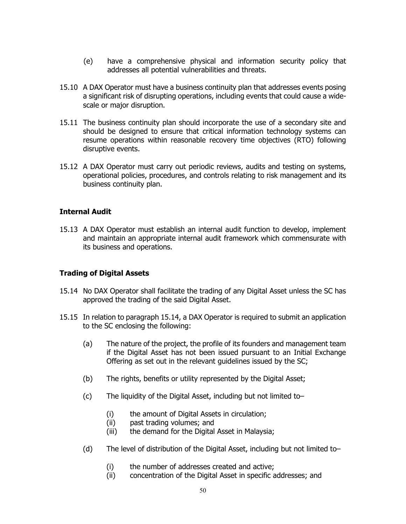- (e) have a comprehensive physical and information security policy that addresses all potential vulnerabilities and threats.
- 15.10 A DAX Operator must have a business continuity plan that addresses events posing a significant risk of disrupting operations, including events that could cause a widescale or major disruption.
- 15.11 The business continuity plan should incorporate the use of a secondary site and should be designed to ensure that critical information technology systems can resume operations within reasonable recovery time objectives (RTO) following disruptive events.
- 15.12 A DAX Operator must carry out periodic reviews, audits and testing on systems, operational policies, procedures, and controls relating to risk management and its business continuity plan.

#### **Internal Audit**

15.13 A DAX Operator must establish an internal audit function to develop, implement and maintain an appropriate internal audit framework which commensurate with its business and operations.

#### **Trading of Digital Assets**

- 15.14 No DAX Operator shall facilitate the trading of any Digital Asset unless the SC has approved the trading of the said Digital Asset.
- 15.15 In relation to paragraph 15.14, a DAX Operator is required to submit an application to the SC enclosing the following:
	- (a) The nature of the project, the profile of its founders and management team if the Digital Asset has not been issued pursuant to an Initial Exchange Offering as set out in the relevant guidelines issued by the SC;
	- (b) The rights, benefits or utility represented by the Digital Asset;
	- (c) The liquidity of the Digital Asset, including but not limited to–
		- (i) the amount of Digital Assets in circulation;
		- (ii) past trading volumes; and
		- (iii) the demand for the Digital Asset in Malaysia;
	- (d) The level of distribution of the Digital Asset, including but not limited to–
		- (i) the number of addresses created and active;
		- (ii) concentration of the Digital Asset in specific addresses; and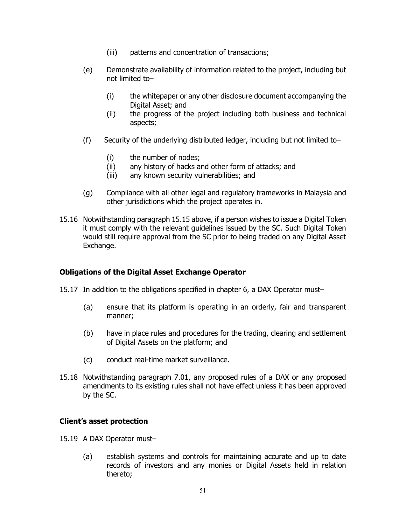- (iii) patterns and concentration of transactions;
- (e) Demonstrate availability of information related to the project, including but not limited to–
	- (i) the whitepaper or any other disclosure document accompanying the Digital Asset; and
	- (ii) the progress of the project including both business and technical aspects;
- (f) Security of the underlying distributed ledger, including but not limited to–
	- (i) the number of nodes;
	- (ii) any history of hacks and other form of attacks; and
	- (iii) any known security vulnerabilities; and
- (g) Compliance with all other legal and regulatory frameworks in Malaysia and other jurisdictions which the project operates in.
- 15.16 Notwithstanding paragraph 15.15 above, if a person wishes to issue a Digital Token it must comply with the relevant guidelines issued by the SC. Such Digital Token would still require approval from the SC prior to being traded on any Digital Asset Exchange.

#### **Obligations of the Digital Asset Exchange Operator**

- 15.17 In addition to the obligations specified in chapter 6, a DAX Operator must–
	- (a) ensure that its platform is operating in an orderly, fair and transparent manner;
	- (b) have in place rules and procedures for the trading, clearing and settlement of Digital Assets on the platform; and
	- (c) conduct real-time market surveillance.
- 15.18 Notwithstanding paragraph 7.01, any proposed rules of a DAX or any proposed amendments to its existing rules shall not have effect unless it has been approved by the SC.

#### **Client's asset protection**

- 15.19 A DAX Operator must–
	- (a) establish systems and controls for maintaining accurate and up to date records of investors and any monies or Digital Assets held in relation thereto;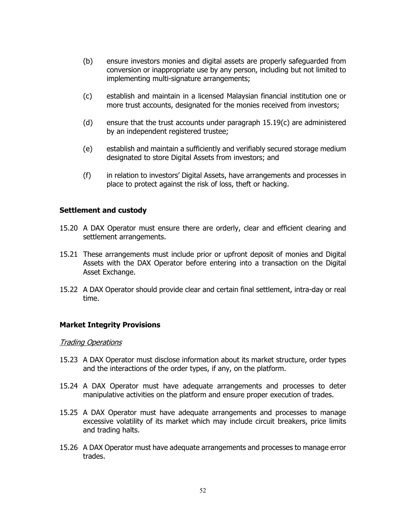- (b) ensure investors monies and digital assets are properly safeguarded from conversion or inappropriate use by any person, including but not limited to implementing multi-signature arrangements;
- (c) establish and maintain in a licensed Malaysian financial institution one or more trust accounts, designated for the monies received from investors;
- (d) ensure that the trust accounts under paragraph  $15.19(c)$  are administered by an independent registered trustee;
- (e) establish and maintain a sufficiently and verifiably secured storage medium designated to store Digital Assets from investors; and
- (f) in relation to investors' Digital Assets, have arrangements and processes in place to protect against the risk of loss, theft or hacking.

#### **Settlement and custody**

- 15.20 A DAX Operator must ensure there are orderly, clear and efficient clearing and settlement arrangements.
- 15.21 These arrangements must include prior or upfront deposit of monies and Digital Assets with the DAX Operator before entering into a transaction on the Digital Asset Exchange.
- 15.22 A DAX Operator should provide clear and certain final settlement, intra-day or real time.

#### **Market Integrity Provisions**

#### Trading Operations

- 15.23 A DAX Operator must disclose information about its market structure, order types and the interactions of the order types, if any, on the platform.
- 15.24 A DAX Operator must have adequate arrangements and processes to deter manipulative activities on the platform and ensure proper execution of trades.
- 15.25 A DAX Operator must have adequate arrangements and processes to manage excessive volatility of its market which may include circuit breakers, price limits and trading halts.
- 15.26 A DAX Operator must have adequate arrangements and processes to manage error trades.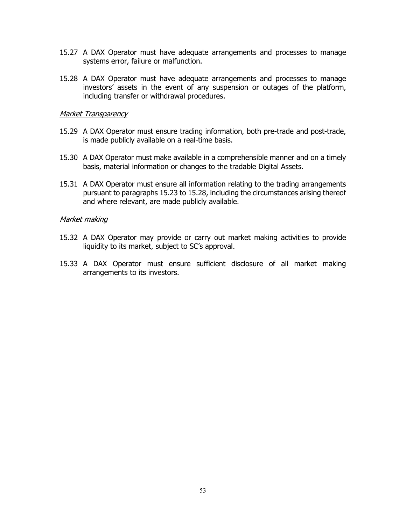- 15.27 A DAX Operator must have adequate arrangements and processes to manage systems error, failure or malfunction.
- 15.28 A DAX Operator must have adequate arrangements and processes to manage investors' assets in the event of any suspension or outages of the platform, including transfer or withdrawal procedures.

#### Market Transparency

- 15.29 A DAX Operator must ensure trading information, both pre-trade and post-trade, is made publicly available on a real-time basis.
- 15.30 A DAX Operator must make available in a comprehensible manner and on a timely basis, material information or changes to the tradable Digital Assets.
- 15.31 A DAX Operator must ensure all information relating to the trading arrangements pursuant to paragraphs 15.23 to 15.28, including the circumstances arising thereof and where relevant, are made publicly available.

#### Market making

- 15.32 A DAX Operator may provide or carry out market making activities to provide liquidity to its market, subject to SC's approval.
- 15.33 A DAX Operator must ensure sufficient disclosure of all market making arrangements to its investors.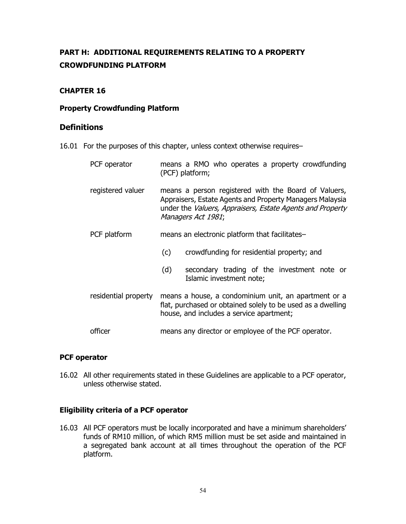# **PART H: ADDITIONAL REQUIREMENTS RELATING TO A PROPERTY CROWDFUNDING PLATFORM**

#### **CHAPTER 16**

#### **Property Crowdfunding Platform**

#### **Definitions**

16.01 For the purposes of this chapter, unless context otherwise requires–

| PCF operator         |                                                                                                                                                                                                     | means a RMO who operates a property crowdfunding<br>(PCF) platform;     |
|----------------------|-----------------------------------------------------------------------------------------------------------------------------------------------------------------------------------------------------|-------------------------------------------------------------------------|
| registered valuer    | means a person registered with the Board of Valuers,<br>Appraisers, Estate Agents and Property Managers Malaysia<br>under the Valuers, Appraisers, Estate Agents and Property<br>Managers Act 1981; |                                                                         |
| PCF platform         |                                                                                                                                                                                                     | means an electronic platform that facilitates-                          |
|                      | (c)                                                                                                                                                                                                 | crowdfunding for residential property; and                              |
|                      | (d)                                                                                                                                                                                                 | secondary trading of the investment note or<br>Islamic investment note; |
| residential property | means a house, a condominium unit, an apartment or a<br>flat, purchased or obtained solely to be used as a dwelling<br>house, and includes a service apartment;                                     |                                                                         |
| officer              | means any director or employee of the PCF operator.                                                                                                                                                 |                                                                         |

#### **PCF operator**

16.02 All other requirements stated in these Guidelines are applicable to a PCF operator, unless otherwise stated.

#### **Eligibility criteria of a PCF operator**

16.03 All PCF operators must be locally incorporated and have a minimum shareholders' funds of RM10 million, of which RM5 million must be set aside and maintained in a segregated bank account at all times throughout the operation of the PCF platform.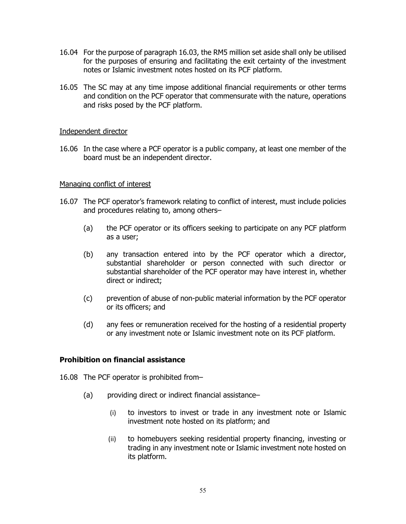- 16.04 For the purpose of paragraph 16.03, the RM5 million set aside shall only be utilised for the purposes of ensuring and facilitating the exit certainty of the investment notes or Islamic investment notes hosted on its PCF platform.
- 16.05 The SC may at any time impose additional financial requirements or other terms and condition on the PCF operator that commensurate with the nature, operations and risks posed by the PCF platform.

#### Independent director

16.06 In the case where a PCF operator is a public company, at least one member of the board must be an independent director.

#### Managing conflict of interest

- 16.07 The PCF operator's framework relating to conflict of interest, must include policies and procedures relating to, among others–
	- (a) the PCF operator or its officers seeking to participate on any PCF platform as a user;
	- (b) any transaction entered into by the PCF operator which a director, substantial shareholder or person connected with such director or substantial shareholder of the PCF operator may have interest in, whether direct or indirect;
	- (c) prevention of abuse of non-public material information by the PCF operator or its officers; and
	- (d) any fees or remuneration received for the hosting of a residential property or any investment note or Islamic investment note on its PCF platform.

#### **Prohibition on financial assistance**

16.08 The PCF operator is prohibited from–

- (a) providing direct or indirect financial assistance–
	- (i) to investors to invest or trade in any investment note or Islamic investment note hosted on its platform; and
	- (ii) to homebuyers seeking residential property financing, investing or trading in any investment note or Islamic investment note hosted on its platform.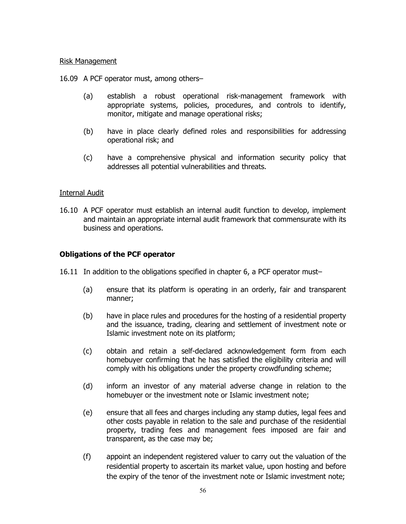#### Risk Management

16.09 A PCF operator must, among others–

- (a) establish a robust operational risk-management framework with appropriate systems, policies, procedures, and controls to identify, monitor, mitigate and manage operational risks;
- (b) have in place clearly defined roles and responsibilities for addressing operational risk; and
- (c) have a comprehensive physical and information security policy that addresses all potential vulnerabilities and threats.

#### Internal Audit

16.10 A PCF operator must establish an internal audit function to develop, implement and maintain an appropriate internal audit framework that commensurate with its business and operations.

#### **Obligations of the PCF operator**

- 16.11 In addition to the obligations specified in chapter 6, a PCF operator must–
	- (a) ensure that its platform is operating in an orderly, fair and transparent manner;
	- (b) have in place rules and procedures for the hosting of a residential property and the issuance, trading, clearing and settlement of investment note or Islamic investment note on its platform;
	- (c) obtain and retain a self-declared acknowledgement form from each homebuyer confirming that he has satisfied the eligibility criteria and will comply with his obligations under the property crowdfunding scheme;
	- (d) inform an investor of any material adverse change in relation to the homebuyer or the investment note or Islamic investment note;
	- (e) ensure that all fees and charges including any stamp duties, legal fees and other costs payable in relation to the sale and purchase of the residential property, trading fees and management fees imposed are fair and transparent, as the case may be;
	- (f) appoint an independent registered valuer to carry out the valuation of the residential property to ascertain its market value, upon hosting and before the expiry of the tenor of the investment note or Islamic investment note;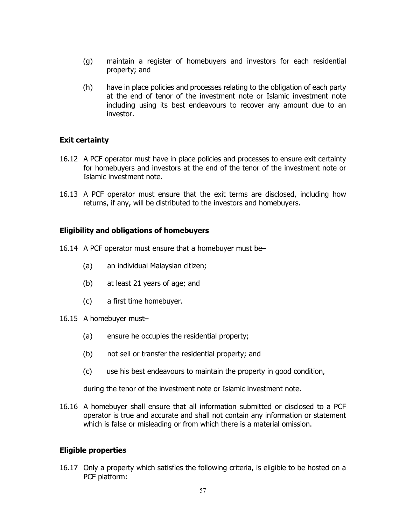- (g) maintain a register of homebuyers and investors for each residential property; and
- (h) have in place policies and processes relating to the obligation of each party at the end of tenor of the investment note or Islamic investment note including using its best endeavours to recover any amount due to an investor.

#### **Exit certainty**

- 16.12 A PCF operator must have in place policies and processes to ensure exit certainty for homebuyers and investors at the end of the tenor of the investment note or Islamic investment note.
- 16.13 A PCF operator must ensure that the exit terms are disclosed, including how returns, if any, will be distributed to the investors and homebuyers.

#### **Eligibility and obligations of homebuyers**

- 16.14 A PCF operator must ensure that a homebuyer must be–
	- (a) an individual Malaysian citizen;
	- (b) at least 21 years of age; and
	- (c) a first time homebuyer.
- 16.15 A homebuyer must–
	- (a) ensure he occupies the residential property;
	- (b) not sell or transfer the residential property; and
	- (c) use his best endeavours to maintain the property in good condition,

during the tenor of the investment note or Islamic investment note.

16.16 A homebuyer shall ensure that all information submitted or disclosed to a PCF operator is true and accurate and shall not contain any information or statement which is false or misleading or from which there is a material omission.

#### **Eligible properties**

16.17 Only a property which satisfies the following criteria, is eligible to be hosted on a PCF platform: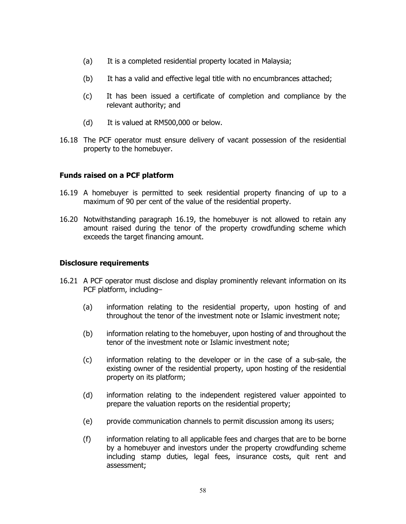- (a) It is a completed residential property located in Malaysia;
- (b) It has a valid and effective legal title with no encumbrances attached;
- (c) It has been issued a certificate of completion and compliance by the relevant authority; and
- (d) It is valued at RM500,000 or below.
- 16.18 The PCF operator must ensure delivery of vacant possession of the residential property to the homebuyer.

#### **Funds raised on a PCF platform**

- 16.19 A homebuyer is permitted to seek residential property financing of up to a maximum of 90 per cent of the value of the residential property.
- 16.20 Notwithstanding paragraph 16.19, the homebuyer is not allowed to retain any amount raised during the tenor of the property crowdfunding scheme which exceeds the target financing amount.

#### **Disclosure requirements**

- 16.21 A PCF operator must disclose and display prominently relevant information on its PCF platform, including–
	- (a) information relating to the residential property, upon hosting of and throughout the tenor of the investment note or Islamic investment note;
	- (b) information relating to the homebuyer, upon hosting of and throughout the tenor of the investment note or Islamic investment note;
	- (c) information relating to the developer or in the case of a sub-sale, the existing owner of the residential property, upon hosting of the residential property on its platform;
	- (d) information relating to the independent registered valuer appointed to prepare the valuation reports on the residential property;
	- (e) provide communication channels to permit discussion among its users;
	- (f) information relating to all applicable fees and charges that are to be borne by a homebuyer and investors under the property crowdfunding scheme including stamp duties, legal fees, insurance costs, quit rent and assessment;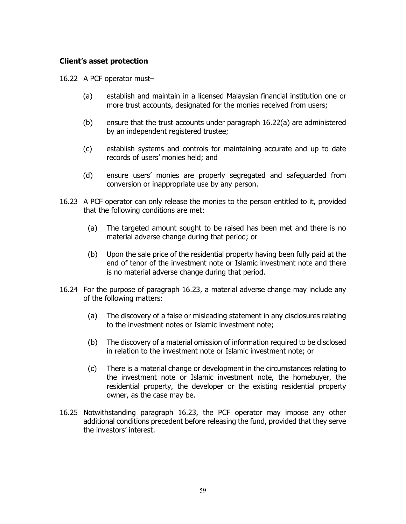#### **Client's asset protection**

16.22 A PCF operator must–

- (a) establish and maintain in a licensed Malaysian financial institution one or more trust accounts, designated for the monies received from users;
- (b) ensure that the trust accounts under paragraph 16.22(a) are administered by an independent registered trustee;
- (c) establish systems and controls for maintaining accurate and up to date records of users' monies held; and
- (d) ensure users' monies are properly segregated and safeguarded from conversion or inappropriate use by any person.
- 16.23 A PCF operator can only release the monies to the person entitled to it, provided that the following conditions are met:
	- (a) The targeted amount sought to be raised has been met and there is no material adverse change during that period; or
	- (b) Upon the sale price of the residential property having been fully paid at the end of tenor of the investment note or Islamic investment note and there is no material adverse change during that period.
- 16.24 For the purpose of paragraph 16.23, a material adverse change may include any of the following matters:
	- (a) The discovery of a false or misleading statement in any disclosures relating to the investment notes or Islamic investment note;
	- (b) The discovery of a material omission of information required to be disclosed in relation to the investment note or Islamic investment note; or
	- (c) There is a material change or development in the circumstances relating to the investment note or Islamic investment note, the homebuyer, the residential property, the developer or the existing residential property owner, as the case may be.
- 16.25 Notwithstanding paragraph 16.23, the PCF operator may impose any other additional conditions precedent before releasing the fund, provided that they serve the investors' interest.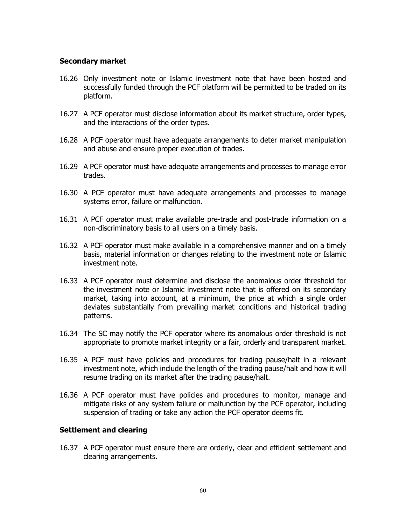#### **Secondary market**

- 16.26 Only investment note or Islamic investment note that have been hosted and successfully funded through the PCF platform will be permitted to be traded on its platform.
- 16.27 A PCF operator must disclose information about its market structure, order types, and the interactions of the order types.
- 16.28 A PCF operator must have adequate arrangements to deter market manipulation and abuse and ensure proper execution of trades.
- 16.29 A PCF operator must have adequate arrangements and processes to manage error trades.
- 16.30 A PCF operator must have adequate arrangements and processes to manage systems error, failure or malfunction.
- 16.31 A PCF operator must make available pre-trade and post-trade information on a non-discriminatory basis to all users on a timely basis.
- 16.32 A PCF operator must make available in a comprehensive manner and on a timely basis, material information or changes relating to the investment note or Islamic investment note.
- 16.33 A PCF operator must determine and disclose the anomalous order threshold for the investment note or Islamic investment note that is offered on its secondary market, taking into account, at a minimum, the price at which a single order deviates substantially from prevailing market conditions and historical trading patterns.
- 16.34 The SC may notify the PCF operator where its anomalous order threshold is not appropriate to promote market integrity or a fair, orderly and transparent market.
- 16.35 A PCF must have policies and procedures for trading pause/halt in a relevant investment note, which include the length of the trading pause/halt and how it will resume trading on its market after the trading pause/halt.
- 16.36 A PCF operator must have policies and procedures to monitor, manage and mitigate risks of any system failure or malfunction by the PCF operator, including suspension of trading or take any action the PCF operator deems fit.

#### **Settlement and clearing**

16.37 A PCF operator must ensure there are orderly, clear and efficient settlement and clearing arrangements.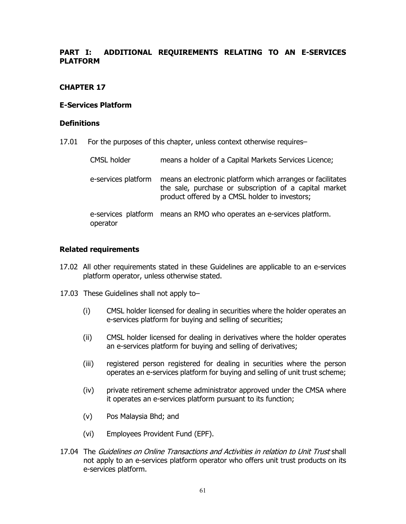#### **PART I: ADDITIONAL REQUIREMENTS RELATING TO AN E-SERVICES PLATFORM**

#### **CHAPTER 17**

#### **E-Services Platform**

#### **Definitions**

17.01 For the purposes of this chapter, unless context otherwise requires–

| <b>CMSL holder</b>              | means a holder of a Capital Markets Services Licence;                                                                                                                  |
|---------------------------------|------------------------------------------------------------------------------------------------------------------------------------------------------------------------|
| e-services platform             | means an electronic platform which arranges or facilitates<br>the sale, purchase or subscription of a capital market<br>product offered by a CMSL holder to investors; |
| e-services platform<br>operator | means an RMO who operates an e-services platform.                                                                                                                      |

#### **Related requirements**

- 17.02 All other requirements stated in these Guidelines are applicable to an e-services platform operator, unless otherwise stated.
- 17.03 These Guidelines shall not apply to–
	- (i) CMSL holder licensed for dealing in securities where the holder operates an e-services platform for buying and selling of securities;
	- (ii) CMSL holder licensed for dealing in derivatives where the holder operates an e-services platform for buying and selling of derivatives;
	- (iii) registered person registered for dealing in securities where the person operates an e-services platform for buying and selling of unit trust scheme;
	- (iv) private retirement scheme administrator approved under the CMSA where it operates an e-services platform pursuant to its function;
	- (v) Pos Malaysia Bhd; and
	- (vi) Employees Provident Fund (EPF).
- 17.04 The Guidelines on Online Transactions and Activities in relation to Unit Trust shall not apply to an e-services platform operator who offers unit trust products on its e-services platform.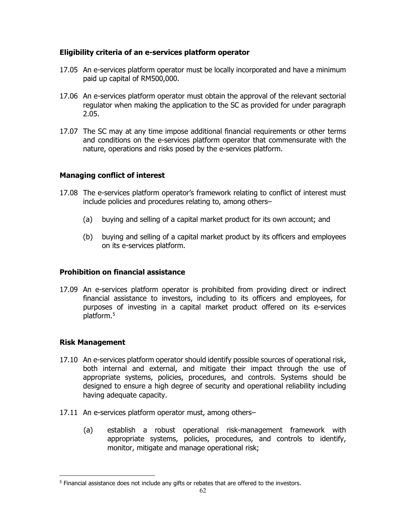#### **Eligibility criteria of an e-services platform operator**

- 17.05 An e-services platform operator must be locally incorporated and have a minimum paid up capital of RM500,000.
- 17.06 An e-services platform operator must obtain the approval of the relevant sectorial regulator when making the application to the SC as provided for under paragraph 2.05.
- 17.07 The SC may at any time impose additional financial requirements or other terms and conditions on the e-services platform operator that commensurate with the nature, operations and risks posed by the e-services platform.

#### **Managing conflict of interest**

- 17.08 The e-services platform operator's framework relating to conflict of interest must include policies and procedures relating to, among others–
	- (a) buying and selling of a capital market product for its own account; and
	- (b) buying and selling of a capital market product by its officers and employees on its e-services platform.

#### **Prohibition on financial assistance**

17.09 An e-services platform operator is prohibited from providing direct or indirect financial assistance to investors, including to its officers and employees, for purposes of investing in a capital market product offered on its e-services platform. [5](#page-65-0)

#### **Risk Management**

- 17.10 An e-services platform operator should identify possible sources of operational risk, both internal and external, and mitigate their impact through the use of appropriate systems, policies, procedures, and controls. Systems should be designed to ensure a high degree of security and operational reliability including having adequate capacity.
- 17.11 An e-services platform operator must, among others–
	- (a) establish a robust operational risk-management framework with appropriate systems, policies, procedures, and controls to identify, monitor, mitigate and manage operational risk;

<span id="page-65-0"></span> $\overline{a}$ <sup>5</sup> Financial assistance does not include any gifts or rebates that are offered to the investors.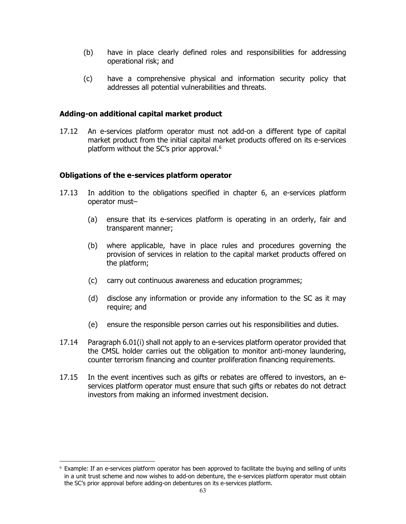- (b) have in place clearly defined roles and responsibilities for addressing operational risk; and
- (c) have a comprehensive physical and information security policy that addresses all potential vulnerabilities and threats.

#### **Adding-on additional capital market product**

17.12 An e-services platform operator must not add-on a different type of capital market product from the initial capital market products offered on its e-services platform without the SC's prior approval. [6](#page-66-0)

#### **Obligations of the e-services platform operator**

- 17.13 In addition to the obligations specified in chapter 6, an e-services platform operator must–
	- (a) ensure that its e-services platform is operating in an orderly, fair and transparent manner;
	- (b) where applicable, have in place rules and procedures governing the provision of services in relation to the capital market products offered on the platform;
	- (c) carry out continuous awareness and education programmes;
	- (d) disclose any information or provide any information to the SC as it may require; and
	- (e) ensure the responsible person carries out his responsibilities and duties.
- 17.14 Paragraph 6.01(i) shall not apply to an e-services platform operator provided that the CMSL holder carries out the obligation to monitor anti-money laundering, counter terrorism financing and counter proliferation financing requirements.
- 17.15 In the event incentives such as gifts or rebates are offered to investors, an eservices platform operator must ensure that such gifts or rebates do not detract investors from making an informed investment decision.

<span id="page-66-0"></span> $6$  Example: If an e-services platform operator has been approved to facilitate the buying and selling of units in a unit trust scheme and now wishes to add-on debenture, the e-services platform operator must obtain the SC's prior approval before adding-on debentures on its e-services platform.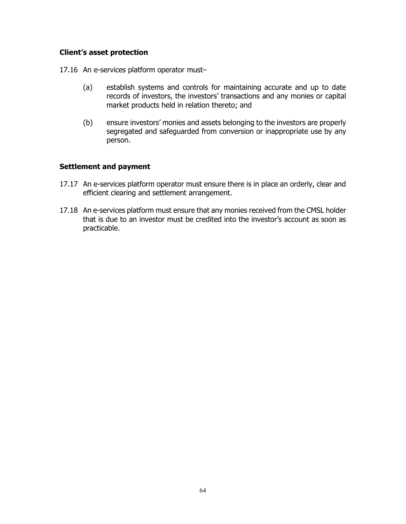#### **Client's asset protection**

17.16 An e-services platform operator must–

- (a) establish systems and controls for maintaining accurate and up to date records of investors, the investors' transactions and any monies or capital market products held in relation thereto; and
- (b) ensure investors' monies and assets belonging to the investors are properly segregated and safeguarded from conversion or inappropriate use by any person.

#### **Settlement and payment**

- 17.17 An e-services platform operator must ensure there is in place an orderly, clear and efficient clearing and settlement arrangement.
- 17.18 An e-services platform must ensure that any monies received from the CMSL holder that is due to an investor must be credited into the investor's account as soon as practicable.